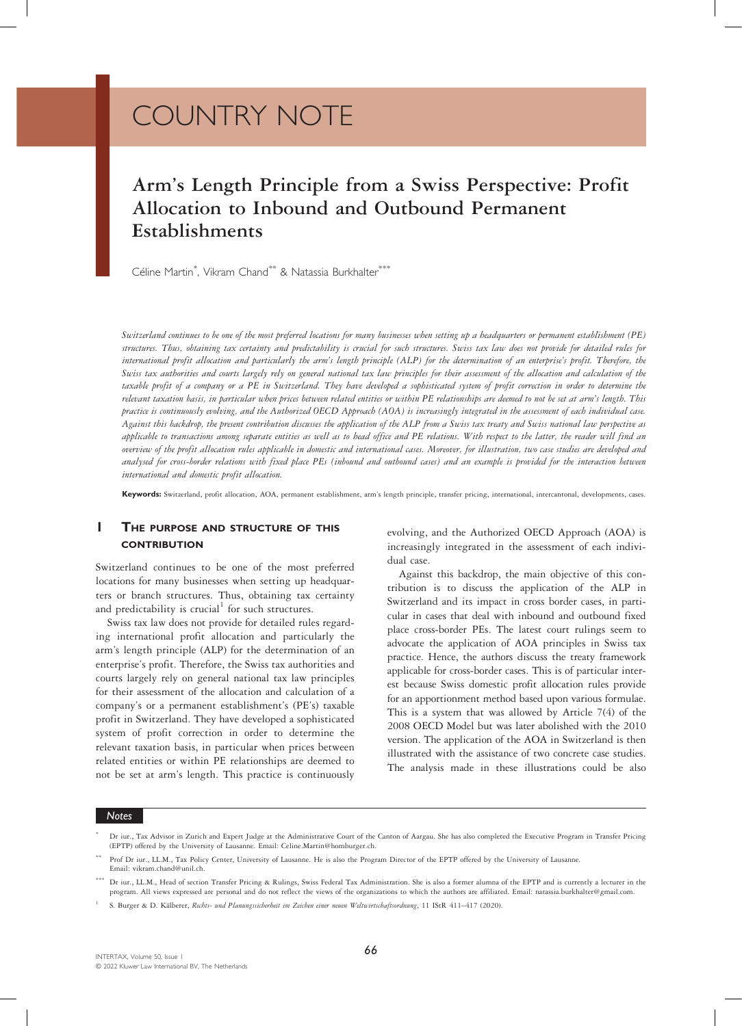# COUNTRY NOTE

# Arm's Length Principle from a Swiss Perspective: Profit Allocation to Inbound and Outbound Permanent Establishments

Céline Martin<sup>\*</sup>, Vikram Chand<sup>\*\*</sup> & Natassia Burkhalter<sup>\*\*\*</sup>

Switzerland continues to be one of the most preferred locations for many businesses when setting up a headquarters or permanent establishment (PE) structures. Thus, obtaining tax certainty and predictability is crucial for such structures. Swiss tax law does not provide for detailed rules for international profit allocation and particularly the arm's length principle (ALP) for the determination of an enterprise's profit. Therefore, the Swiss tax authorities and courts largely rely on general national tax law principles for their assessment of the allocation and calculation of the taxable profit of a company or a PE in Switzerland. They have developed a sophisticated system of profit correction in order to determine the relevant taxation basis, in particular when prices between related entities or within PE relationships are deemed to not be set at arm's length. This practice is continuously evolving, and the Authorized OECD Approach (AOA) is increasingly integrated in the assessment of each individual case. Against this backdrop, the present contribution discusses the application of the ALP from a Swiss tax treaty and Swiss national law perspective as applicable to transactions among separate entities as well as to head office and PE relations. With respect to the latter, the reader will find an overview of the profit allocation rules applicable in domestic and international cases. Moreover, for illustration, two case studies are developed and analysed for cross-border relations with fixed place PEs (inbound and outbound cases) and an example is provided for the interaction between international and domestic profit allocation.

Keywords: Switzerland, profit allocation, AOA, permanent establishment, arm's length principle, transfer pricing, international, intercantonal, developments, cases.

# **1** THE PURPOSE AND STRUCTURE OF THIS **CONTRIBUTION**

Switzerland continues to be one of the most preferred locations for many businesses when setting up headquarters or branch structures. Thus, obtaining tax certainty and predictability is crucial<sup>1</sup> for such structures.

Swiss tax law does not provide for detailed rules regarding international profit allocation and particularly the arm's length principle (ALP) for the determination of an enterprise's profit. Therefore, the Swiss tax authorities and courts largely rely on general national tax law principles for their assessment of the allocation and calculation of a company's or a permanent establishment's (PE's) taxable profit in Switzerland. They have developed a sophisticated system of profit correction in order to determine the relevant taxation basis, in particular when prices between related entities or within PE relationships are deemed to not be set at arm's length. This practice is continuously evolving, and the Authorized OECD Approach (AOA) is increasingly integrated in the assessment of each individual case.

Against this backdrop, the main objective of this contribution is to discuss the application of the ALP in Switzerland and its impact in cross border cases, in particular in cases that deal with inbound and outbound fixed place cross-border PEs. The latest court rulings seem to advocate the application of AOA principles in Swiss tax practice. Hence, the authors discuss the treaty framework applicable for cross-border cases. This is of particular interest because Swiss domestic profit allocation rules provide for an apportionment method based upon various formulae. This is a system that was allowed by Article 7(4) of the 2008 OECD Model but was later abolished with the 2010 version. The application of the AOA in Switzerland is then illustrated with the assistance of two concrete case studies. The analysis made in these illustrations could be also

<sup>\*</sup> Dr iur., Tax Advisor in Zurich and Expert Judge at the Administrative Court of the Canton of Aargau. She has also completed the Executive Program in Transfer Pricing (EPTP) offered by the University of Lausanne. Email: Celine.Martin@homburger.ch.

Prof Dr iur., LL.M., Tax Policy Center, University of Lausanne. He is also the Program Director of the EPTP offered by the University of Lausanne. Email: vikram.chand@unil.ch.

<sup>\*\*\*</sup> Dr iur., LL.M., Head of section Transfer Pricing & Rulings, Swiss Federal Tax Administration. She is also a former alumna of the EPTP and is currently a lecturer in the program. All views expressed are personal and do not reflect the views of the organizations to which the authors are affiliated. Email: natassia.burkhalter@gmail.com.

<sup>1</sup> S. Burger & D. Kälberer, Rechts- und Planungssicherheit im Zeichen einer neuen Weltwirtschaftsordnung, 11 IStR 411–417 (2020).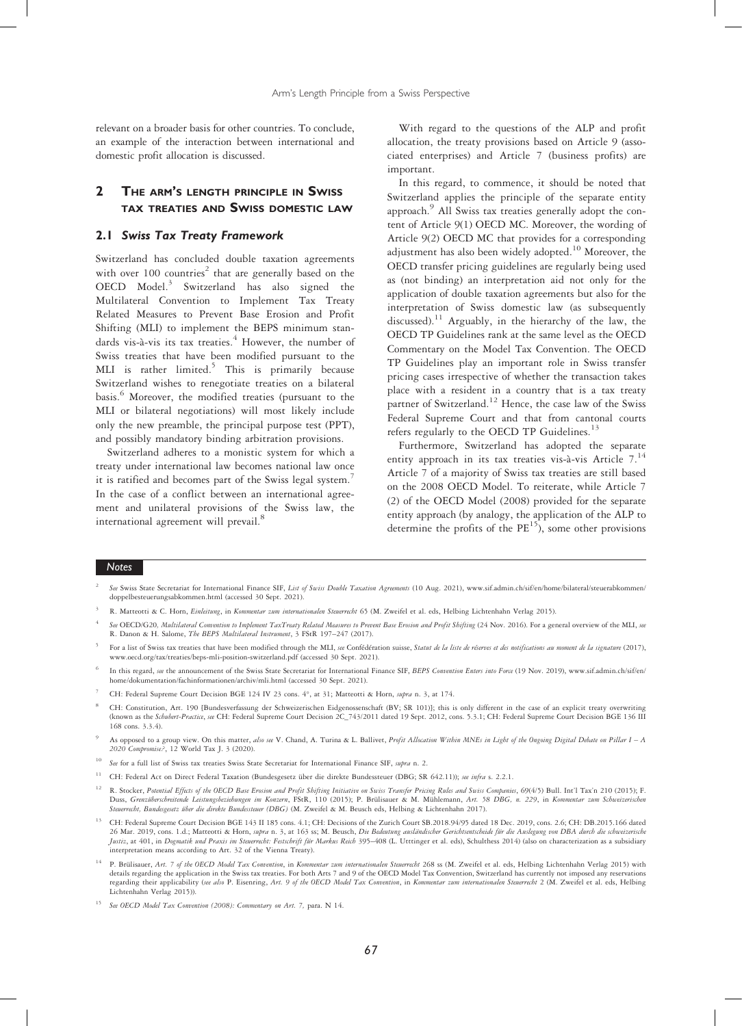relevant on a broader basis for other countries. To conclude, an example of the interaction between international and domestic profit allocation is discussed.

# 2 THE ARM'S LENGTH PRINCIPLE IN SWISS TAX TREATIES AND SWISS DOMESTIC LAW

#### 2.1 Swiss Tax Treaty Framework

Switzerland has concluded double taxation agreements with over 100 countries<sup>2</sup> that are generally based on the OECD Model. $3$  Switzerland has also signed the Multilateral Convention to Implement Tax Treaty Related Measures to Prevent Base Erosion and Profit Shifting (MLI) to implement the BEPS minimum standards vis-à-vis its tax treaties.<sup>4</sup> However, the number of Swiss treaties that have been modified pursuant to the MLI is rather limited.<sup>5</sup> This is primarily because Switzerland wishes to renegotiate treaties on a bilateral basis.<sup>6</sup> Moreover, the modified treaties (pursuant to the MLI or bilateral negotiations) will most likely include only the new preamble, the principal purpose test (PPT), and possibly mandatory binding arbitration provisions.

Switzerland adheres to a monistic system for which a treaty under international law becomes national law once it is ratified and becomes part of the Swiss legal system.<sup>7</sup> In the case of a conflict between an international agreement and unilateral provisions of the Swiss law, the international agreement will prevail.<sup>8</sup>

With regard to the questions of the ALP and profit allocation, the treaty provisions based on Article 9 (associated enterprises) and Article 7 (business profits) are important.

In this regard, to commence, it should be noted that Switzerland applies the principle of the separate entity approach.<sup>9</sup> All Swiss tax treaties generally adopt the content of Article 9(1) OECD MC. Moreover, the wording of Article 9(2) OECD MC that provides for a corresponding adjustment has also been widely adopted.10 Moreover, the OECD transfer pricing guidelines are regularly being used as (not binding) an interpretation aid not only for the application of double taxation agreements but also for the interpretation of Swiss domestic law (as subsequently discussed).<sup>11</sup> Arguably, in the hierarchy of the law, the OECD TP Guidelines rank at the same level as the OECD Commentary on the Model Tax Convention. The OECD TP Guidelines play an important role in Swiss transfer pricing cases irrespective of whether the transaction takes place with a resident in a country that is a tax treaty partner of Switzerland.<sup>12</sup> Hence, the case law of the Swiss Federal Supreme Court and that from cantonal courts refers regularly to the OECD TP Guidelines. $13$ 

Furthermore, Switzerland has adopted the separate entity approach in its tax treaties vis-à-vis Article 7.<sup>14</sup> Article 7 of a majority of Swiss tax treaties are still based on the 2008 OECD Model. To reiterate, while Article 7 (2) of the OECD Model (2008) provided for the separate entity approach (by analogy, the application of the ALP to determine the profits of the  $PE<sup>15</sup>$ ), some other provisions

- See Swiss State Secretariat for International Finance SIF, List of Swiss Double Taxation Agreements (10 Aug. 2021), www.sif.admin.ch/sif/en/home/bilateral/steuerabkommen/ doppelbesteuerungsabkommen.html (accessed 30 Sept. 2021).
- R. Matteotti & C. Horn, Einleitung, in Kommentar zum internationalen Steuerrecht 65 (M. Zweifel et al. eds, Helbing Lichtenhahn Verlag 2015).
- See OECD/G20, Multilateral Convention to Implement TaxTreaty Related Measures to Prevent Base Erosion and Profit Sbifting (24 Nov. 2016). For a general overview of the MLI, see R. Danon & H. Salome, The BEPS Multilateral Instrument, 3 FStR 197–247 (2017).
- For a list of Swiss tax treaties that have been modified through the MLI, see Confédération suisse, Statut de la liste de réserves et des notifications au moment de la signature (2017), www.oecd.org/tax/treaties/beps-mli-position-switzerland.pdf (accessed 30 Sept. 2021).
- In this regard, see the announcement of the Swiss State Secretariat for International Finance SIF, BEPS Convention Enters into Force (19 Nov. 2019), www.sif.admin.ch/sif/en/ home/dokumentation/fachinformationen/archiv/mli.html (accessed 30 Sept. 2021).
- <sup>7</sup> CH: Federal Supreme Court Decision BGE 124 IV 23 cons. 4°, at 31; Matteotti & Horn, supra n. 3, at 174.
- <sup>8</sup> CH: Constitution, Art. 190 [Bundesverfassung der Schweizerischen Eidgenossenschaft (BV; SR 101)]; this is only different in the case of an explicit treaty overwriting (known as the Schubert-Practice, see CH: Federal Supreme Court Decision 2C\_743/2011 dated 19 Sept. 2012, cons. 5.3.1; CH: Federal Supreme Court Decision BGE 136 III 168 cons. 3.3.4).
- As opposed to a group view. On this matter, also see V. Chand, A. Turina & L. Ballivet, Profit Allocation Within MNEs in Light of the Ongoing Digital Debate on Pillar I A 2020 Compromise?, 12 World Tax J. 3 (2020).
- <sup>10</sup> See for a full list of Swiss tax treaties Swiss State Secretariat for International Finance SIF, supra n. 2.
- <sup>11</sup> CH: Federal Act on Direct Federal Taxation (Bundesgesetz über die direkte Bundessteuer (DBG; SR 642.11)); see infra s. 2.2.1.
- <sup>12</sup> R. Stocker, Potential Effects of the OECD Base Erosion and Profit Shifting Initiative on Swiss Transfer Pricing Rules and Swiss Companies, 69(4/5) Bull. Int'l Tax'n 210 (2015); F. Duss, Grenzüberschreitende Leistungsbeziehungen im Konzern, FStR, 110 (2015); P. Brülisauer & M. Mühlemann, Art. 58 DBG, n. 229, in Kommentar zum Schweizerischen Steuerrecht, Bundesgesetz über die direkte Bundessteuer (DBG) (M. Zweifel & M. Beusch eds, Helbing & Lichtenhahn 2017).
- <sup>13</sup> CH: Federal Supreme Court Decision BGE 143 II 185 cons. 4.1; CH: Decisions of the Zurich Court SB.2018.94/95 dated 18 Dec. 2019, cons. 2.6; CH: DB.2015.166 dated 26 Mar. 2019, cons. 1.d.; Matteotti & Horn, *supra* n. 3, at 163 ss; M. Beusch, *Die Bedeutung ausländischer Gerichtsentscheide für die Auslegung von DBA durch die schweizerische*<br>Justiz, at 401, in Dogmatik und Praxis im interpretation means according to Art. 32 of the Vienna Treaty).
- <sup>14</sup> P. Brülisauer, Art. 7 of the OECD Model Tax Convention, in Kommentar zum internationalen Steuerrecht 268 ss (M. Zweifel et al. eds, Helbing Lichtenhahn Verlag 2015) with details regarding the application in the Swiss tax treaties. For both Arts 7 and 9 of the OECD Model Tax Convention, Switzerland has currently not imposed any reservations regarding their applicability (see also P. Eisenring, Art. 9 of the OECD Model Tax Convention, in Kommentar zum internationalen Steuerrecht 2 (M. Zweifel et al. eds, Helbing Lichtenhahn Verlag 2015)).
- <sup>15</sup> See OECD Model Tax Convention (2008): Commentary on Art. 7, para. N 14.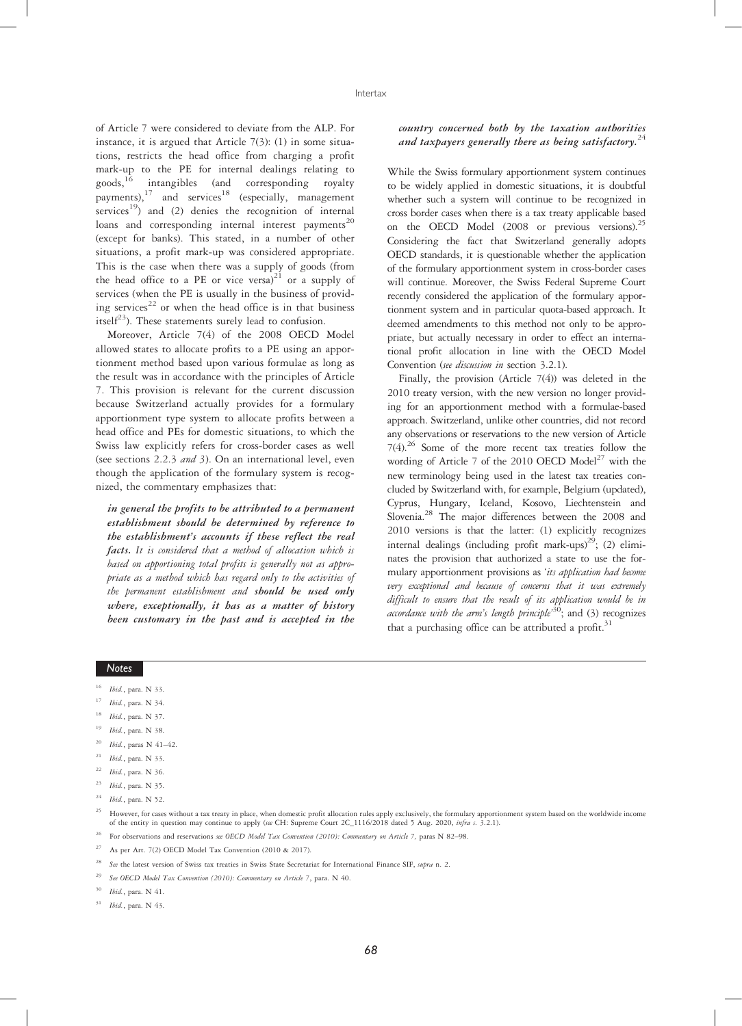of Article 7 were considered to deviate from the ALP. For instance, it is argued that Article  $7(3)$ : (1) in some situations, restricts the head office from charging a profit mark-up to the PE for internal dealings relating to goods,16 intangibles (and corresponding royalty  $p^2$  bayments),<sup>17</sup> and services<sup>18</sup> (especially, management services<sup>19</sup>) and (2) denies the recognition of internal loans and corresponding internal interest payments<sup>20</sup> (except for banks). This stated, in a number of other situations, a profit mark-up was considered appropriate. This is the case when there was a supply of goods (from the head office to a PE or vice versa) $21$  or a supply of services (when the PE is usually in the business of providing services<sup>22</sup> or when the head office is in that business itsel $f^{23}$ ). These statements surely lead to confusion.

Moreover, Article 7(4) of the 2008 OECD Model allowed states to allocate profits to a PE using an apportionment method based upon various formulae as long as the result was in accordance with the principles of Article 7. This provision is relevant for the current discussion because Switzerland actually provides for a formulary apportionment type system to allocate profits between a head office and PEs for domestic situations, to which the Swiss law explicitly refers for cross-border cases as well (see sections 2.2.3 and 3). On an international level, even though the application of the formulary system is recognized, the commentary emphasizes that:

in general the profits to be attributed to a permanent establishment should be determined by reference to the establishment's accounts if these reflect the real facts. It is considered that a method of allocation which is based on apportioning total profits is generally not as appropriate as a method which has regard only to the activities of the permanent establishment and should be used only where, exceptionally, it has as a matter of history been customary in the past and is accepted in the

#### country concerned both by the taxation authorities and taxpayers generally there as being satisfactory.<sup>24</sup>

While the Swiss formulary apportionment system continues to be widely applied in domestic situations, it is doubtful whether such a system will continue to be recognized in cross border cases when there is a tax treaty applicable based on the OECD Model (2008 or previous versions).<sup>25</sup> Considering the fact that Switzerland generally adopts OECD standards, it is questionable whether the application of the formulary apportionment system in cross-border cases will continue. Moreover, the Swiss Federal Supreme Court recently considered the application of the formulary apportionment system and in particular quota-based approach. It deemed amendments to this method not only to be appropriate, but actually necessary in order to effect an international profit allocation in line with the OECD Model Convention (see discussion in section 3.2.1).

Finally, the provision (Article 7(4)) was deleted in the 2010 treaty version, with the new version no longer providing for an apportionment method with a formulae-based approach. Switzerland, unlike other countries, did not record any observations or reservations to the new version of Article  $7(4)$ .<sup>26</sup> Some of the more recent tax treaties follow the wording of Article 7 of the 2010 OECD  $Model<sup>27</sup>$  with the new terminology being used in the latest tax treaties concluded by Switzerland with, for example, Belgium (updated), Cyprus, Hungary, Iceland, Kosovo, Liechtenstein and Slovenia.28 The major differences between the 2008 and 2010 versions is that the latter: (1) explicitly recognizes internal dealings (including profit mark-ups)<sup>29</sup>; (2) eliminates the provision that authorized a state to use the formulary apportionment provisions as 'its application had become very exceptional and because of concerns that it was extremely difficult to ensure that the result of its application would be in accordance with the arm's length principle<sup>30</sup>; and (3) recognizes that a purchasing office can be attributed a profit. $31$ 

- Ibid., para. N 33.
- Ibid., para. N 34.
- $18$  *Ibid.*, para. N 37.
- <sup>19</sup> Ibid., para. N 38.
- <sup>20</sup> *Ibid.*, paras N 41-42.
- $21$  *Ibid.*, para. N 33.
- <sup>22</sup> Ibid., para. N 36.
- $^{23}$  Ibid., para. N 35.
- Ihid., para. N 52.

- For observations and reservations see OECD Model Tax Convention (2010): Commentary on Article 7, paras N 82-98.
- As per Art. 7(2) OECD Model Tax Convention (2010 & 2017).
- <sup>28</sup> See the latest version of Swiss tax treaties in Swiss State Secretariat for International Finance SIF, *supra* n. 2.
- See OECD Model Tax Convention (2010): Commentary on Article 7, para. N 40.
- Ibid., para. N 41.
- <sup>31</sup> Ibid., para. N 43.

<sup>25</sup> However, for cases without a tax treaty in place, when domestic profit allocation rules apply exclusively, the formulary apportionment system based on the worldwide income of the entity in question may continue to apply (see CH: Supreme Court 2C\_1116/2018 dated 5 Aug. 2020, infra s. 3.2.1).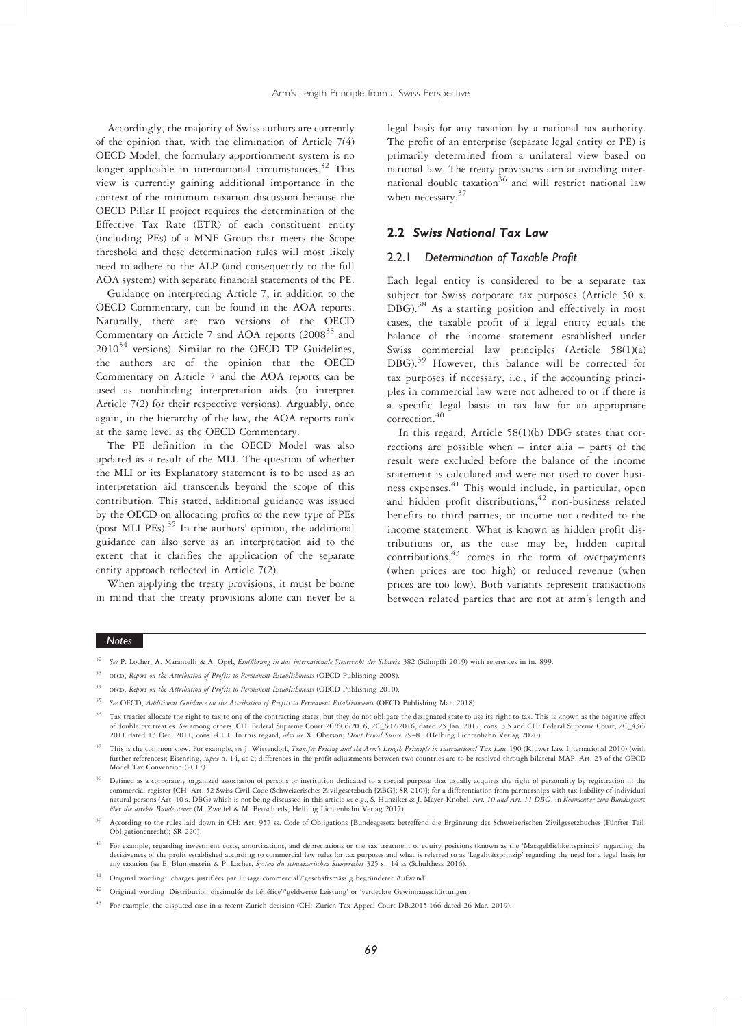Accordingly, the majority of Swiss authors are currently of the opinion that, with the elimination of Article 7(4) OECD Model, the formulary apportionment system is no longer applicable in international circumstances.<sup>32</sup> This view is currently gaining additional importance in the context of the minimum taxation discussion because the OECD Pillar II project requires the determination of the Effective Tax Rate (ETR) of each constituent entity (including PEs) of a MNE Group that meets the Scope threshold and these determination rules will most likely need to adhere to the ALP (and consequently to the full AOA system) with separate financial statements of the PE.

Guidance on interpreting Article 7, in addition to the OECD Commentary, can be found in the AOA reports. Naturally, there are two versions of the OECD Commentary on Article 7 and AOA reports  $(2008<sup>33</sup>$  and  $2010^{34}$  versions). Similar to the OECD TP Guidelines, the authors are of the opinion that the OECD Commentary on Article 7 and the AOA reports can be used as nonbinding interpretation aids (to interpret Article 7(2) for their respective versions). Arguably, once again, in the hierarchy of the law, the AOA reports rank at the same level as the OECD Commentary.

The PE definition in the OECD Model was also updated as a result of the MLI. The question of whether the MLI or its Explanatory statement is to be used as an interpretation aid transcends beyond the scope of this contribution. This stated, additional guidance was issued by the OECD on allocating profits to the new type of PEs (post MLI PEs). $35$  In the authors' opinion, the additional guidance can also serve as an interpretation aid to the extent that it clarifies the application of the separate entity approach reflected in Article 7(2).

When applying the treaty provisions, it must be borne in mind that the treaty provisions alone can never be a legal basis for any taxation by a national tax authority. The profit of an enterprise (separate legal entity or PE) is primarily determined from a unilateral view based on national law. The treaty provisions aim at avoiding international double taxation<sup>36</sup> and will restrict national law when necessary.<sup>37</sup>

#### 2.2 Swiss National Tax Law

#### 2.2.1 Determination of Taxable Profit

Each legal entity is considered to be a separate tax subject for Swiss corporate tax purposes (Article 50 s. DBG).<sup>38</sup> As a starting position and effectively in most cases, the taxable profit of a legal entity equals the balance of the income statement established under Swiss commercial law principles (Article 58(1)(a) DBG).<sup>39</sup> However, this balance will be corrected for tax purposes if necessary, i.e., if the accounting principles in commercial law were not adhered to or if there is a specific legal basis in tax law for an appropriate correction.<sup>40</sup>

In this regard, Article 58(1)(b) DBG states that corrections are possible when – inter alia – parts of the result were excluded before the balance of the income statement is calculated and were not used to cover business expenses. <sup>41</sup> This would include, in particular, open and hidden profit distributions, $42$  non-business related benefits to third parties, or income not credited to the income statement. What is known as hidden profit distributions or, as the case may be, hidden capital contributions,<sup>43</sup> comes in the form of overpayments (when prices are too high) or reduced revenue (when prices are too low). Both variants represent transactions between related parties that are not at arm's length and

- <sup>32</sup> See P. Locher, A. Marantelli & A. Opel, Einführung in das internationale Steuerrecht der Schweiz 382 (Stämpfli 2019) with references in fn. 899.
- <sup>33</sup> OECD, Report on the Attribution of Profits to Permanent Establishments (OECD Publishing 2008).
- OECD, Report on the Attribution of Profits to Permanent Establishments (OECD Publishing 2010).
- See OECD, Additional Guidance on the Attribution of Profits to Permanent Establishments (OECD Publishing Mar. 2018).
- Tax treaties allocate the right to tax to one of the contracting states, but they do not obligate the designated state to use its right to tax. This is known as the negative effect of double tax treaties. See among others, CH: Federal Supreme Court 2C/606/2016, 2C\_607/2016, dated 25 Jan. 2017, cons. 3.5 and CH: Federal Supreme Court, 2C\_436/ 2011 dated 13 Dec. 2011, cons. 4.1.1. In this regard, also see X. Oberson, Droit Fiscal Suisse 79-81 (Helbing Lichtenhahn Verlag 2020).
- This is the common view. For example, see J. Wittendorf, Transfer Pricing and the Arm's Length Principle in International Tax Law 190 (Kluwer Law International 2010) (with further references); Eisenring, supra n. 14, at 2; differences in the profit adjustments between two countries are to be resolved through bilateral MAP, Art. 25 of the OECD Model Tax Convention (2017).
- Defined as a corporately organized association of persons or institution dedicated to a special purpose that usually acquires the right of personality by registration in the commercial register [CH: Art. 52 Swiss Civil Code (Schweizerisches Zivilgesetzbuch [ZBG]; SR 210)]; for a differentiation from partnerships with tax liability of individual natural persons (Art. 10 s. DBG) which is not being discussed in this article see e.g., S. Hunziker & J. Mayer-Knobel, Art. 10 and Art. 11 DBG, in Kommentar zum Bundesgesetz über die direkte Bundessteuer (M. Zweifel & M. Beusch eds, Helbing Lichtenhahn Verlag 2017).
- <sup>39</sup> According to the rules laid down in CH: Art. 957 ss. Code of Obligations [Bundesgesetz betreffend die Ergänzung des Schweizerischen Zivilgesetzbuches (Fünfter Teil: Obligationenrecht); SR 220].
- <sup>40</sup> For example, regarding investment costs, amortizations, and depreciations or the tax treatment of equity positions (known as the 'Massgeblichkeitsprinzip' regarding the decisiveness of the profit established according to commercial law rules for tax purposes and what is referred to as 'Legalitätsprinzip' regarding the need for a legal basis for any taxation (see E. Blumenstein & P. Locher, System des schweizerischen Steuerrechts 325 s., 14 ss (Schulthess 2016).
- <sup>41</sup> Original wording: 'charges justifiées par l'usage commercial'/'geschäftsmässig begründeter Aufwand'.
- <sup>42</sup> Original wording 'Distribution dissimulée de bénéfice'/'geldwerte Leistung' or 'verdeckte Gewinnausschüttungen'.
- <sup>43</sup> For example, the disputed case in a recent Zurich decision (CH: Zurich Tax Appeal Court DB.2015.166 dated 26 Mar. 2019).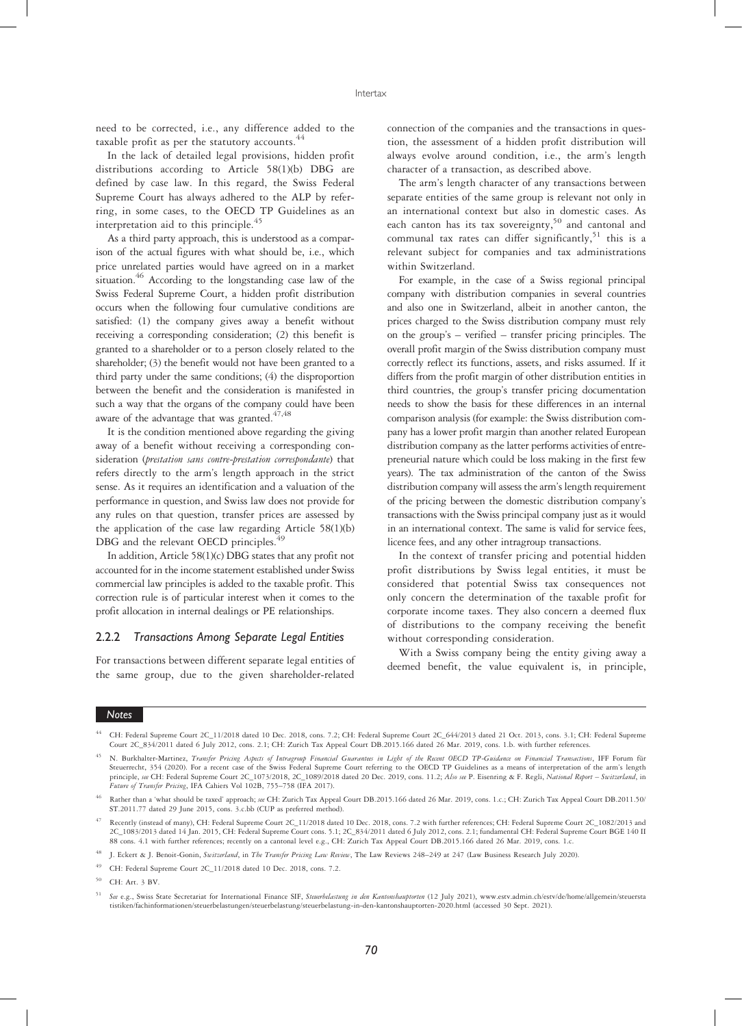need to be corrected, i.e., any difference added to the taxable profit as per the statutory accounts.<sup>44</sup>

In the lack of detailed legal provisions, hidden profit distributions according to Article 58(1)(b) DBG are defined by case law. In this regard, the Swiss Federal Supreme Court has always adhered to the ALP by referring, in some cases, to the OECD TP Guidelines as an interpretation aid to this principle.<sup>45</sup>

As a third party approach, this is understood as a comparison of the actual figures with what should be, i.e., which price unrelated parties would have agreed on in a market situation.<sup>46</sup> According to the longstanding case law of the Swiss Federal Supreme Court, a hidden profit distribution occurs when the following four cumulative conditions are satisfied: (1) the company gives away a benefit without receiving a corresponding consideration; (2) this benefit is granted to a shareholder or to a person closely related to the shareholder; (3) the benefit would not have been granted to a third party under the same conditions; (4) the disproportion between the benefit and the consideration is manifested in such a way that the organs of the company could have been aware of the advantage that was granted.<sup>47,48</sup>

It is the condition mentioned above regarding the giving away of a benefit without receiving a corresponding consideration (prestation sans contre-prestation correspondante) that refers directly to the arm's length approach in the strict sense. As it requires an identification and a valuation of the performance in question, and Swiss law does not provide for any rules on that question, transfer prices are assessed by the application of the case law regarding Article 58(1)(b) DBG and the relevant OECD principles.<sup>4</sup>

In addition, Article 58(1)(c) DBG states that any profit not accounted for in the income statement established under Swiss commercial law principles is added to the taxable profit. This correction rule is of particular interest when it comes to the profit allocation in internal dealings or PE relationships.

#### 2.2.2 Transactions Among Separate Legal Entities

For transactions between different separate legal entities of the same group, due to the given shareholder-related connection of the companies and the transactions in question, the assessment of a hidden profit distribution will always evolve around condition, i.e., the arm's length character of a transaction, as described above.

The arm's length character of any transactions between separate entities of the same group is relevant not only in an international context but also in domestic cases. As each canton has its tax sovereignty,<sup>50</sup> and cantonal and communal tax rates can differ significantly,  $51$  this is a relevant subject for companies and tax administrations within Switzerland.

For example, in the case of a Swiss regional principal company with distribution companies in several countries and also one in Switzerland, albeit in another canton, the prices charged to the Swiss distribution company must rely on the group's – verified – transfer pricing principles. The overall profit margin of the Swiss distribution company must correctly reflect its functions, assets, and risks assumed. If it differs from the profit margin of other distribution entities in third countries, the group's transfer pricing documentation needs to show the basis for these differences in an internal comparison analysis (for example: the Swiss distribution company has a lower profit margin than another related European distribution company as the latter performs activities of entrepreneurial nature which could be loss making in the first few years). The tax administration of the canton of the Swiss distribution company will assess the arm's length requirement of the pricing between the domestic distribution company's transactions with the Swiss principal company just as it would in an international context. The same is valid for service fees, licence fees, and any other intragroup transactions.

In the context of transfer pricing and potential hidden profit distributions by Swiss legal entities, it must be considered that potential Swiss tax consequences not only concern the determination of the taxable profit for corporate income taxes. They also concern a deemed flux of distributions to the company receiving the benefit without corresponding consideration.

With a Swiss company being the entity giving away a deemed benefit, the value equivalent is, in principle,

- <sup>47</sup> Recently (instead of many), CH: Federal Supreme Court 2C\_11/2018 dated 10 Dec. 2018, cons. 7.2 with further references; CH: Federal Supreme Court 2C\_1082/2013 and 2C\_1083/2013 dated 14 Jan. 2015, CH: Federal Supreme Court cons. 5.1; 2C\_834/2011 dated 6 July 2012, cons. 2.1; fundamental CH: Federal Supreme Court BGE 140 II 88 cons. 4.1 with further references; recently on a cantonal level e.g., CH: Zurich Tax Appeal Court DB.2015.166 dated 26 Mar. 2019, cons. 1.c.
- J. Eckert & J. Benoit-Gonin, Switzerland, in The Transfer Pricing Law Review, The Law Reviews 248-249 at 247 (Law Business Research July 2020).
- CH: Federal Supreme Court 2C\_11/2018 dated 10 Dec. 2018, cons. 7.2.
- <sup>50</sup> CH: Art. 3 BV.

<sup>44</sup> CH: Federal Supreme Court 2C\_11/2018 dated 10 Dec. 2018, cons. 7.2; CH: Federal Supreme Court 2C\_644/2013 dated 21 Oct. 2013, cons. 3.1; CH: Federal Supreme Court 2C\_834/2011 dated 6 July 2012, cons. 2.1; CH: Zurich Tax Appeal Court DB.2015.166 dated 26 Mar. 2019, cons. 1.b. with further references.

N. Burkhalter-Martinez, Transfer Pricing Aspects of Intragroup Financial Guarantees in Light of the Recent OECD TP-Guidance on Financial Transactions, IFF Forum für Steuerrecht, 354 (2020). For a recent case of the Swiss Federal Supreme Court referring to the OECD TP Guidelines as a means of interpretation of the arm's length<br>principle, see CH: Federal Supreme Court 2C\_1073/2018, 2C\_1 Future of Transfer Pricing, IFA Cahiers Vol 102B, 755–758 (IFA 2017).

<sup>46</sup> Rather than a 'what should be taxed' approach; see CH: Zurich Tax Appeal Court DB.2015.166 dated 26 Mar. 2019, cons. 1.c.; CH: Zurich Tax Appeal Court DB.2011.50/ ST.2011.77 dated 29 June 2015, cons. 3.c.bb (CUP as preferred method).

<sup>51</sup> See e.g., Swiss State Secretariat for International Finance SIF, Steuerbelastung in den Kantonshauptorten (12 July 2021), www.estv.admin.ch/estv/de/home/allgemein/steuersta tistiken/fachinformationen/steuerbelastungen/steuerbelastung/steuerbelastung-in-den-kantonshauptorten-2020.html (accessed 30 Sept. 2021).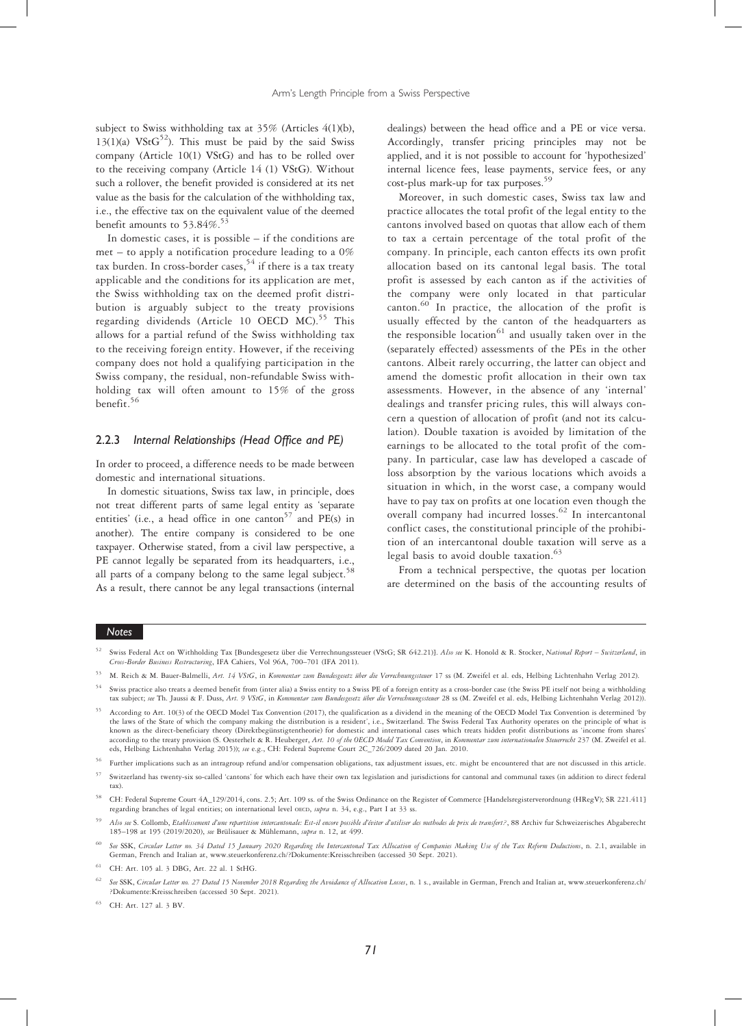subject to Swiss withholding tax at 35% (Articles 4(1)(b),  $13(1)(a)$  VStG<sup>52</sup>). This must be paid by the said Swiss company (Article 10(1) VStG) and has to be rolled over to the receiving company (Article 14 (1) VStG). Without such a rollover, the benefit provided is considered at its net value as the basis for the calculation of the withholding tax, i.e., the effective tax on the equivalent value of the deemed benefit amounts to 53.84%.<sup>53</sup>

In domestic cases, it is possible – if the conditions are met – to apply a notification procedure leading to a 0% tax burden. In cross-border cases,  $54$  if there is a tax treaty applicable and the conditions for its application are met, the Swiss withholding tax on the deemed profit distribution is arguably subject to the treaty provisions regarding dividends (Article 10 OECD  $MC$ ).<sup>55</sup> This allows for a partial refund of the Swiss withholding tax to the receiving foreign entity. However, if the receiving company does not hold a qualifying participation in the Swiss company, the residual, non-refundable Swiss withholding tax will often amount to 15% of the gross benefit.<sup>56</sup>

#### 2.2.3 Internal Relationships (Head Office and PE)

In order to proceed, a difference needs to be made between domestic and international situations.

In domestic situations, Swiss tax law, in principle, does not treat different parts of same legal entity as 'separate entities' (i.e., a head office in one canton<sup>57</sup> and PE(s) in another). The entire company is considered to be one taxpayer. Otherwise stated, from a civil law perspective, a PE cannot legally be separated from its headquarters, i.e., all parts of a company belong to the same legal subject.<sup>58</sup> As a result, there cannot be any legal transactions (internal dealings) between the head office and a PE or vice versa. Accordingly, transfer pricing principles may not be applied, and it is not possible to account for 'hypothesized' internal licence fees, lease payments, service fees, or any cost-plus mark-up for tax purposes.<sup>59</sup>

Moreover, in such domestic cases, Swiss tax law and practice allocates the total profit of the legal entity to the cantons involved based on quotas that allow each of them to tax a certain percentage of the total profit of the company. In principle, each canton effects its own profit allocation based on its cantonal legal basis. The total profit is assessed by each canton as if the activities of the company were only located in that particular canton.<sup>60</sup> In practice, the allocation of the profit is usually effected by the canton of the headquarters as the responsible location<sup>61</sup> and usually taken over in the (separately effected) assessments of the PEs in the other cantons. Albeit rarely occurring, the latter can object and amend the domestic profit allocation in their own tax assessments. However, in the absence of any 'internal' dealings and transfer pricing rules, this will always concern a question of allocation of profit (and not its calculation). Double taxation is avoided by limitation of the earnings to be allocated to the total profit of the company. In particular, case law has developed a cascade of loss absorption by the various locations which avoids a situation in which, in the worst case, a company would have to pay tax on profits at one location even though the overall company had incurred losses.<sup>62</sup> In intercantonal conflict cases, the constitutional principle of the prohibition of an intercantonal double taxation will serve as a legal basis to avoid double taxation. $63$ 

From a technical perspective, the quotas per location are determined on the basis of the accounting results of

#### **Notes**

- Swiss practice also treats a deemed benefit from (inter alia) a Swiss entity to a Swiss PE of a foreign entity as a cross-border case (the Swiss PE itself not being a withholding tax subject; see Th. Jaussi & F. Duss, Art. 9 VStG, in Kommentar zum Bundesgesetz über die Verrechnungssteuer 28 ss (M. Zweifel et al. eds, Helbing Lichtenhahn Verlag 2012)).
- <sup>55</sup> According to Art. 10(3) of the OECD Model Tax Convention (2017), the qualification as a dividend in the meaning of the OECD Model Tax Convention is determined 'by the laws of the State of which the company making the distribution is a resident', i.e., Switzerland. The Swiss Federal Tax Authority operates on the principle of what is known as the direct-beneficiary theory (Direktbegünstigtentheorie) for domestic and international cases which treats hidden profit distributions as 'income from shares' according to the treaty provision (S. Oesterhelt & R. Heuberger, Art. 10 of the OECD Model Tax Convention, in Kommentar zum internationalen Steuerrecht 237 (M. Zweifel et al. eds, Helbing Lichtenhahn Verlag 2015)); see e.g., CH: Federal Supreme Court 2C\_726/2009 dated 20 Jan. 2010.

- <sup>57</sup> Switzerland has twenty-six so-called 'cantons' for which each have their own tax legislation and jurisdictions for cantonal and communal taxes (in addition to direct federal tax).
- <sup>58</sup> CH: Federal Supreme Court 4A\_129/2014, cons. 2.5; Art. 109 ss. of the Swiss Ordinance on the Register of Commerce [Handelsregisterverordnung (HRegV); SR 221.411] regarding branches of legal entities; on international level OECD, supra n. 34, e.g., Part I at 33 ss.
- Also see S. Collomb, Etablissement d'une repartition intercantonale: Est-il encore possible d'éviter d'utiliser des methodes de prix de transfert?, 88 Archiv fur Schweizerisches Abgaberecht 185–198 at 195 (2019/2020), see Brülisauer & Mühlemann, supra n. 12, at 499.
- See SSK, Circular Letter no. 34 Dated 15 January 2020 Regarding the Intercantonal Tax Allocation of Companies Making Use of the Tax Reform Deductions, n. 2.1, available in German, French and Italian at, www.steuerkonferenz.ch/?Dokumente:Kreisschreiben (accessed 30 Sept. 2021).
- <sup>61</sup> CH: Art. 105 al. 3 DBG, Art. 22 al. 1 StHG.
- 62 See SSK, Circular Letter no. 27 Dated 15 November 2018 Regarding the Avoidance of Allocation Losses, n. 1 s., available in German, French and Italian at, www.steuerkonferenz.ch/ ?Dokumente:Kreisschreiben (accessed 30 Sept. 2021).

<sup>63</sup> CH: Art. 127 al. 3 BV.

<sup>52</sup> Swiss Federal Act on Withholding Tax [Bundesgesetz über die Verrechnungssteuer (VStG; SR 642.21)]. Also see K. Honold & R. Stocker, National Report – Switzerland, in Cross-Border Business Restructuring, IFA Cahiers, Vol 96A, 700–701 (IFA 2011).

<sup>53</sup> M. Reich & M. Bauer-Balmelli, Art. 14 VStG, in Kommentar zum Bundesgesetz über die Verrechnungssteuer 17 ss (M. Zweifel et al. eds, Helbing Lichtenhahn Verlag 2012).

<sup>56</sup> Further implications such as an intragroup refund and/or compensation obligations, tax adjustment issues, etc. might be encountered that are not discussed in this article.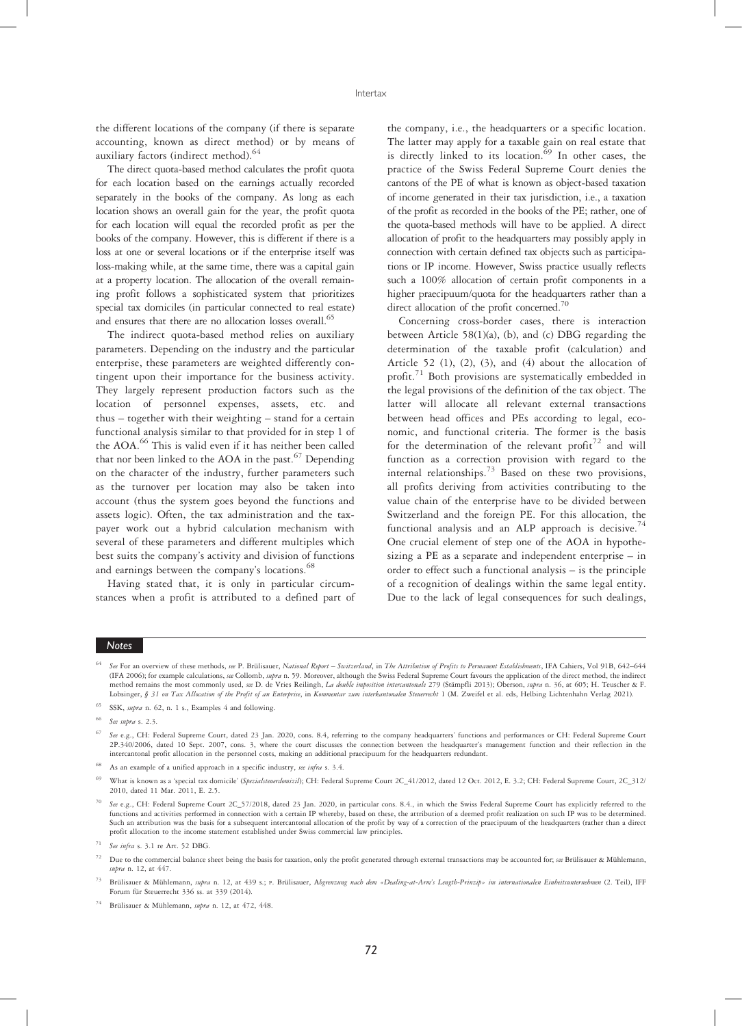the different locations of the company (if there is separate accounting, known as direct method) or by means of auxiliary factors (indirect method).<sup>64</sup>

The direct quota-based method calculates the profit quota for each location based on the earnings actually recorded separately in the books of the company. As long as each location shows an overall gain for the year, the profit quota for each location will equal the recorded profit as per the books of the company. However, this is different if there is a loss at one or several locations or if the enterprise itself was loss-making while, at the same time, there was a capital gain at a property location. The allocation of the overall remaining profit follows a sophisticated system that prioritizes special tax domiciles (in particular connected to real estate) and ensures that there are no allocation losses overall.<sup>65</sup>

The indirect quota-based method relies on auxiliary parameters. Depending on the industry and the particular enterprise, these parameters are weighted differently contingent upon their importance for the business activity. They largely represent production factors such as the location of personnel expenses, assets, etc. and thus – together with their weighting – stand for a certain functional analysis similar to that provided for in step 1 of the AOA.<sup>66</sup> This is valid even if it has neither been called that nor been linked to the AOA in the past. $67$  Depending on the character of the industry, further parameters such as the turnover per location may also be taken into account (thus the system goes beyond the functions and assets logic). Often, the tax administration and the taxpayer work out a hybrid calculation mechanism with several of these parameters and different multiples which best suits the company's activity and division of functions and earnings between the company's locations.<sup>68</sup>

Having stated that, it is only in particular circumstances when a profit is attributed to a defined part of the company, i.e., the headquarters or a specific location. The latter may apply for a taxable gain on real estate that is directly linked to its location.  $69$  In other cases, the practice of the Swiss Federal Supreme Court denies the cantons of the PE of what is known as object-based taxation of income generated in their tax jurisdiction, i.e., a taxation of the profit as recorded in the books of the PE; rather, one of the quota-based methods will have to be applied. A direct allocation of profit to the headquarters may possibly apply in connection with certain defined tax objects such as participations or IP income. However, Swiss practice usually reflects such a 100% allocation of certain profit components in a higher praecipuum/quota for the headquarters rather than a direct allocation of the profit concerned.<sup>70</sup>

Concerning cross-border cases, there is interaction between Article 58(1)(a), (b), and (c) DBG regarding the determination of the taxable profit (calculation) and Article 52 (1), (2), (3), and (4) about the allocation of profit.<sup>71</sup> Both provisions are systematically embedded in the legal provisions of the definition of the tax object. The latter will allocate all relevant external transactions between head offices and PEs according to legal, economic, and functional criteria. The former is the basis for the determination of the relevant profit<sup>72</sup> and will function as a correction provision with regard to the internal relationships.<sup>73</sup> Based on these two provisions, all profits deriving from activities contributing to the value chain of the enterprise have to be divided between Switzerland and the foreign PE. For this allocation, the functional analysis and an ALP approach is decisive.<sup>74</sup> One crucial element of step one of the AOA in hypothesizing a PE as a separate and independent enterprise – in order to effect such a functional analysis – is the principle of a recognition of dealings within the same legal entity. Due to the lack of legal consequences for such dealings,

#### Notes

<sup>66</sup> See supra s. 2.3.

- <sup>69</sup> What is known as a 'special tax domicile' (Spezialsteuerdomizil); CH: Federal Supreme Court 2C\_41/2012, dated 12 Oct. 2012, E. 3.2; CH: Federal Supreme Court, 2C\_312/ 2010, dated 11 Mar. 2011, E. 2.5.
- See e.g., CH: Federal Supreme Court 2C\_57/2018, dated 23 Jan. 2020, in particular cons. 8.4., in which the Swiss Federal Supreme Court has explicitly referred to the functions and activities performed in connection with a certain IP whereby, based on these, the attribution of a deemed profit realization on such IP was to be determined. Such an attribution was the basis for a subsequent intercantonal allocation of the profit by way of a correction of the praecipuum of the headquarters (rather than a direct profit allocation to the income statement established under Swiss commercial law principles.
- See infra s. 3.1 re Art. 52 DBG.
- Due to the commercial balance sheet being the basis for taxation, only the profit generated through external transactions may be accounted for; see Brülisauer & Mühlemann, supra n. 12, at 447.
- Brülisauer & Mühlemann, supra n. 12, at 439 s.; P. Brülisauer, Abgrenzung nach dem «Dealing-at-Arm's Length-Prinzip» im internationalen Einheitsunternehmen (2. Teil), IFF Forum für Steuerrecht 336 ss. at 339 (2014).
- <sup>74</sup> Brülisauer & Mühlemann, supra n. 12, at 472, 448.

<sup>&</sup>lt;sup>64</sup> See For an overview of these methods, see P. Brülisauer, National Report – Switzerland, in The Attribution of Profits to Permanent Establishments, IFA Cahiers, Vol 91B, 642–644<br>(IFA 2006); for example calculations, se method remains the most commonly used, see D. de Vries Reilingh, La double imposition intercantonale 279 (Stämpfli 2013); Oberson, supra n. 36, at 605; H. Teuscher & F. Lobsinger, § 31 on Tax Allocation of the Profit of an Enterprise, in Kommentar zum interkantonalen Steuerrecht 1 (M. Zweifel et al. eds, Helbing Lichtenhahn Verlag 2021).

<sup>65</sup> SSK, supra n. 62, n. 1 s., Examples 4 and following.

See e.g., CH: Federal Supreme Court, dated 23 Jan. 2020, cons. 8.4, referring to the company headquarters' functions and performances or CH: Federal Supreme Court 2P.340/2006, dated 10 Sept. 2007, cons. 3, where the court discusses the connection between the headquarter's management function and their reflection in the intercantonal profit allocation in the personnel costs, making an additional praecipuum for the headquarters redundant.

As an example of a unified approach in a specific industry, see infra s. 3.4.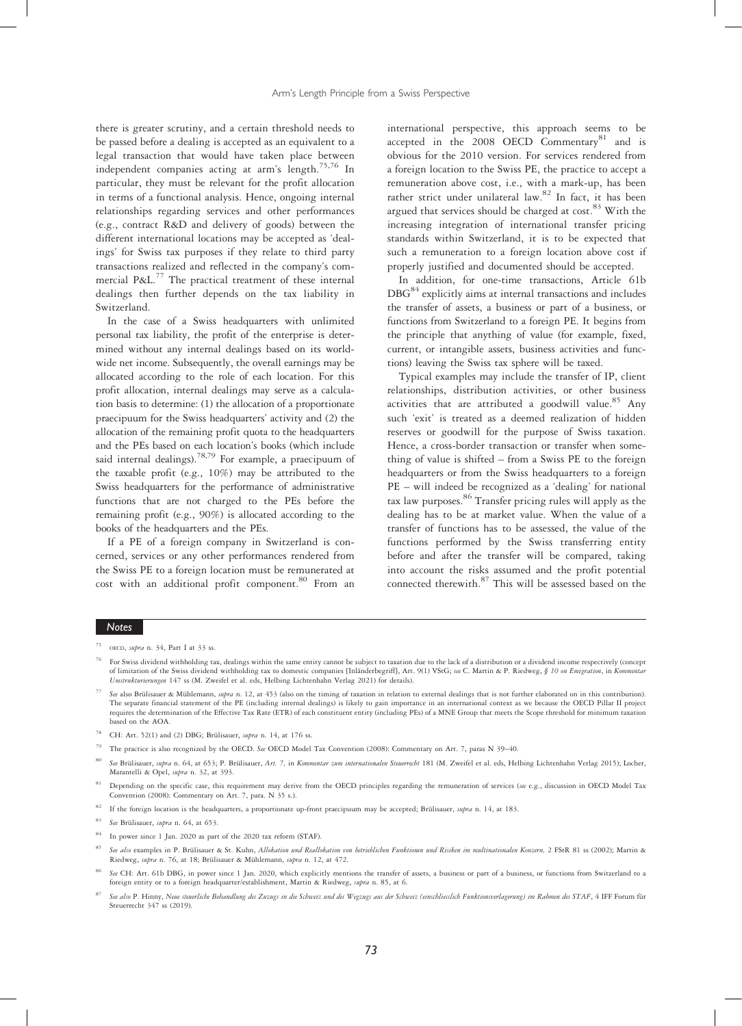there is greater scrutiny, and a certain threshold needs to be passed before a dealing is accepted as an equivalent to a legal transaction that would have taken place between independent companies acting at arm's length.<sup>75,76</sup> In particular, they must be relevant for the profit allocation in terms of a functional analysis. Hence, ongoing internal relationships regarding services and other performances (e.g., contract R&D and delivery of goods) between the different international locations may be accepted as 'dealings' for Swiss tax purposes if they relate to third party transactions realized and reflected in the company's commercial P&L.<sup>77</sup> The practical treatment of these internal dealings then further depends on the tax liability in Switzerland.

In the case of a Swiss headquarters with unlimited personal tax liability, the profit of the enterprise is determined without any internal dealings based on its worldwide net income. Subsequently, the overall earnings may be allocated according to the role of each location. For this profit allocation, internal dealings may serve as a calculation basis to determine: (1) the allocation of a proportionate praecipuum for the Swiss headquarters' activity and (2) the allocation of the remaining profit quota to the headquarters and the PEs based on each location's books (which include said internal dealings).<sup>78,79</sup> For example, a praecipuum of the taxable profit (e.g., 10%) may be attributed to the Swiss headquarters for the performance of administrative functions that are not charged to the PEs before the remaining profit (e.g., 90%) is allocated according to the books of the headquarters and the PEs.

If a PE of a foreign company in Switzerland is concerned, services or any other performances rendered from the Swiss PE to a foreign location must be remunerated at cost with an additional profit component.<sup>80</sup> From an

international perspective, this approach seems to be accepted in the 2008 OECD  $Commonstary^{81}$  and is obvious for the 2010 version. For services rendered from a foreign location to the Swiss PE, the practice to accept a remuneration above cost, i.e., with a mark-up, has been rather strict under unilateral law.<sup>82</sup> In fact, it has been argued that services should be charged at cost. $83$  With the increasing integration of international transfer pricing standards within Switzerland, it is to be expected that such a remuneration to a foreign location above cost if properly justified and documented should be accepted.

In addition, for one-time transactions, Article 61b DBG<sup>84</sup> explicitly aims at internal transactions and includes the transfer of assets, a business or part of a business, or functions from Switzerland to a foreign PE. It begins from the principle that anything of value (for example, fixed, current, or intangible assets, business activities and functions) leaving the Swiss tax sphere will be taxed.

Typical examples may include the transfer of IP, client relationships, distribution activities, or other business activities that are attributed a goodwill value.<sup>85</sup> Any such 'exit' is treated as a deemed realization of hidden reserves or goodwill for the purpose of Swiss taxation. Hence, a cross-border transaction or transfer when something of value is shifted – from a Swiss PE to the foreign headquarters or from the Swiss headquarters to a foreign PE – will indeed be recognized as a 'dealing' for national tax law purposes.86 Transfer pricing rules will apply as the dealing has to be at market value. When the value of a transfer of functions has to be assessed, the value of the functions performed by the Swiss transferring entity before and after the transfer will be compared, taking into account the risks assumed and the profit potential connected therewith.<sup>87</sup> This will be assessed based on the

# Notes

- See also Brülisauer & Mühlemann, supra n. 12, at 453 (also on the timing of taxation in relation to external dealings that is not further elaborated on in this contribution). The separate financial statement of the PE (including internal dealings) is likely to gain importance in an international context as we because the OECD Pillar II project requires the determination of the Effective Tax Rate (ETR) of each constituent entity (including PEs) of a MNE Group that meets the Scope threshold for minimum taxation based on the AOA.
- CH: Art. 52(1) and (2) DBG; Brülisauer, supra n. 14, at 176 ss.

The practice is also recognized by the OECD. See OECD Model Tax Convention (2008): Commentary on Art. 7, paras N 39-40.

- See Brülisauer, supra n. 64, at 653; P. Brülisauer, Art. 7, in Kommentar zum internationalen Steuerrecht 181 (M. Zweifel et al. eds, Helbing Lichtenhahn Verlag 2015); Locher, Marantelli & Opel, supra n. 32, at 393.
- Depending on the specific case, this requirement may derive from the OECD principles regarding the remuneration of services (see e.g., discussion in OECD Model Tax Convention (2008): Commentary on Art. 7, para. N 35 s.).
- <sup>82</sup> If the foreign location is the headquarters, a proportionate up-front praecipuum may be accepted; Brülisauer, supra n. 14, at 183.
- <sup>83</sup> See Brülisauer, supra n. 64, at 653.
- <sup>84</sup> In power since 1 Jan. 2020 as part of the 2020 tax reform (STAF).
- See also examples in P. Brülisauer & St. Kuhn, Allokation und Reallokation von betrieblichen Funktionen und Risiken im multinationalen Konzern, 2 FStR 81 ss (2002); Martin & Riedweg, supra n. 76, at 18; Brülisauer & Mühlemann, supra n. 12, at 472.
- See CH: Art. 61b DBG, in power since 1 Jan. 2020, which explicitly mentions the transfer of assets, a business or part of a business, or functions from Switzerland to a foreign entity or to a foreign headquarter/establishment, Martin & Riedweg, supra n. 85, at 6.
- See also P. Hinny, Neue steuerliche Behandlung des Zuzugs in die Schweiz und des Wegzugs aus der Schweiz (einschliesslich Funktionsverlagerung) im Rahmen des STAF, 4 IFF Forum für Steuerrecht 347 ss (2019).

OECD, supra n. 34, Part I at 33 ss.

For Swiss dividend withholding tax, dealings within the same entity cannot be subject to taxation due to the lack of a distribution or a dividend income respectively (concept of limitation of the Swiss dividend withholding tax to domestic companies [Inländerbegriff], Art. 9(1) VStG; see C. Martin & P. Riedweg, § 10 on Emigration, in Kommentar Umstrukturierungen 147 ss (M. Zweifel et al. eds, Helbing Lichtenhahn Verlag 2021) for details).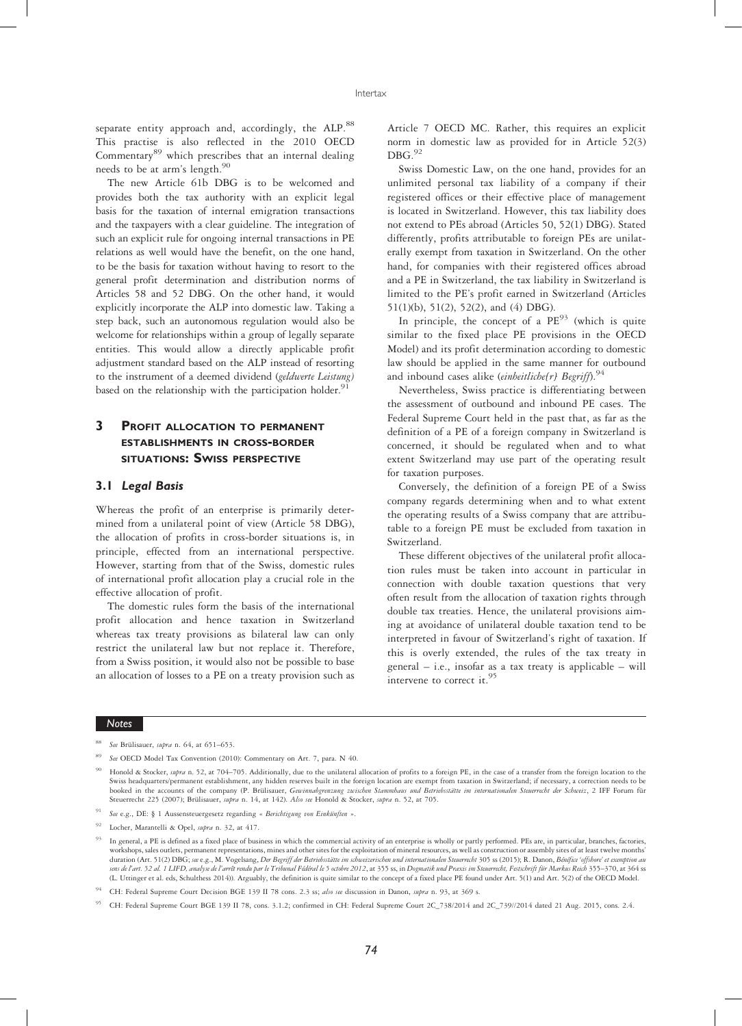separate entity approach and, accordingly, the ALP.88 This practise is also reflected in the 2010 OECD Commentary<sup>89</sup> which prescribes that an internal dealing needs to be at arm's length.<sup>90</sup>

The new Article 61b DBG is to be welcomed and provides both the tax authority with an explicit legal basis for the taxation of internal emigration transactions and the taxpayers with a clear guideline. The integration of such an explicit rule for ongoing internal transactions in PE relations as well would have the benefit, on the one hand, to be the basis for taxation without having to resort to the general profit determination and distribution norms of Articles 58 and 52 DBG. On the other hand, it would explicitly incorporate the ALP into domestic law. Taking a step back, such an autonomous regulation would also be welcome for relationships within a group of legally separate entities. This would allow a directly applicable profit adjustment standard based on the ALP instead of resorting to the instrument of a deemed dividend (geldwerte Leistung) based on the relationship with the participation holder.<sup>9</sup>

# 3 PROFIT ALLOCATION TO PERMANENT ESTABLISHMENTS IN CROSS-BORDER SITUATIONS: SWISS PERSPECTIVE

#### 3.1 Legal Basis

Whereas the profit of an enterprise is primarily determined from a unilateral point of view (Article 58 DBG), the allocation of profits in cross-border situations is, in principle, effected from an international perspective. However, starting from that of the Swiss, domestic rules of international profit allocation play a crucial role in the effective allocation of profit.

The domestic rules form the basis of the international profit allocation and hence taxation in Switzerland whereas tax treaty provisions as bilateral law can only restrict the unilateral law but not replace it. Therefore, from a Swiss position, it would also not be possible to base an allocation of losses to a PE on a treaty provision such as Article 7 OECD MC. Rather, this requires an explicit norm in domestic law as provided for in Article 52(3)  $DBG.<sup>92</sup>$ 

Swiss Domestic Law, on the one hand, provides for an unlimited personal tax liability of a company if their registered offices or their effective place of management is located in Switzerland. However, this tax liability does not extend to PEs abroad (Articles 50, 52(1) DBG). Stated differently, profits attributable to foreign PEs are unilaterally exempt from taxation in Switzerland. On the other hand, for companies with their registered offices abroad and a PE in Switzerland, the tax liability in Switzerland is limited to the PE's profit earned in Switzerland (Articles 51(1)(b), 51(2), 52(2), and (4) DBG).

In principle, the concept of a  $PE^{93}$  (which is quite similar to the fixed place PE provisions in the OECD Model) and its profit determination according to domestic law should be applied in the same manner for outbound and inbound cases alike (einheitliche(r) Begriff).<sup>94</sup>

Nevertheless, Swiss practice is differentiating between the assessment of outbound and inbound PE cases. The Federal Supreme Court held in the past that, as far as the definition of a PE of a foreign company in Switzerland is concerned, it should be regulated when and to what extent Switzerland may use part of the operating result for taxation purposes.

Conversely, the definition of a foreign PE of a Swiss company regards determining when and to what extent the operating results of a Swiss company that are attributable to a foreign PE must be excluded from taxation in Switzerland.

These different objectives of the unilateral profit allocation rules must be taken into account in particular in connection with double taxation questions that very often result from the allocation of taxation rights through double tax treaties. Hence, the unilateral provisions aiming at avoidance of unilateral double taxation tend to be interpreted in favour of Switzerland's right of taxation. If this is overly extended, the rules of the tax treaty in general – i.e., insofar as a tax treaty is applicable – will intervene to correct it.<sup>95</sup>

See Brülisauer, supra n. 64, at 651-653.

See OECD Model Tax Convention (2010): Commentary on Art. 7, para. N 40.

Honold & Stocker, supra n. 52, at 704-705. Additionally, due to the unilateral allocation of profits to a foreign PE, in the case of a transfer from the foreign location to the Swiss headquarters/permanent establishment, any hidden reserves built in the foreign location are exempt from taxation in Switzerland; if necessary, a correction needs to be booked in the accounts of the company (P. Brülisauer, Gewinnabgrenzung zwischen Stammhaus und Betriebsstätte im internationalen Steuerrecht der Schweiz, 2 IFF Forum für Steuerrecht 225 (2007); Brülisauer, supra n. 14, at 142). Also see Honold & Stocker, supra n. 52, at 705.

<sup>91</sup> See e.g., DE: § 1 Aussensteuergesetz regarding « Berichtigung von Einkünften ».

<sup>92</sup> Locher, Marantelli & Opel, supra n. 32, at 417.

<sup>93</sup> In general, a PE is defined as a fixed place of business in which the commercial activity of an enterprise is wholly or partly performed. PEs are, in particular, branches, factories, workshops, sales outlets, permanent representations, mines and other sites for the exploitation of mineral resources, as well as construction or assembly sites of at least twelve months' duration (Art. 51(2) DBG; see e.g., M. Vogelsang, Der Begriff der Betriebsstätte im schweizerischen und internationalen Steuerrecht 305 ss (2015); R. Danon, Bénéfice 'offshore' et exemption au de l'art. 52 al. 1 LIFD, analyse de l'arrêt rendu par le Tribunal Fédéral le 5 octobre 2012, at 355 ss, in Dogmatik und Praxis im Steuerrecht, Festschrift für Markus Reich 355–370, at 364 ss (L. Uttinger et al. eds, Schulthess 2014)). Arguably, the definition is quite similar to the concept of a fixed place PE found under Art. 5(1) and Art. 5(2) of the OECD Model.

<sup>&</sup>lt;sup>94</sup> CH: Federal Supreme Court Decision BGE 139 II 78 cons. 2.3 ss; also see discussion in Danon, supra n. 93, at 369 s.

<sup>95</sup> CH: Federal Supreme Court BGE 139 II 78, cons. 3.1.2; confirmed in CH: Federal Supreme Court 2C\_738/2014 and 2C\_739//2014 dated 21 Aug. 2015, cons. 2.4.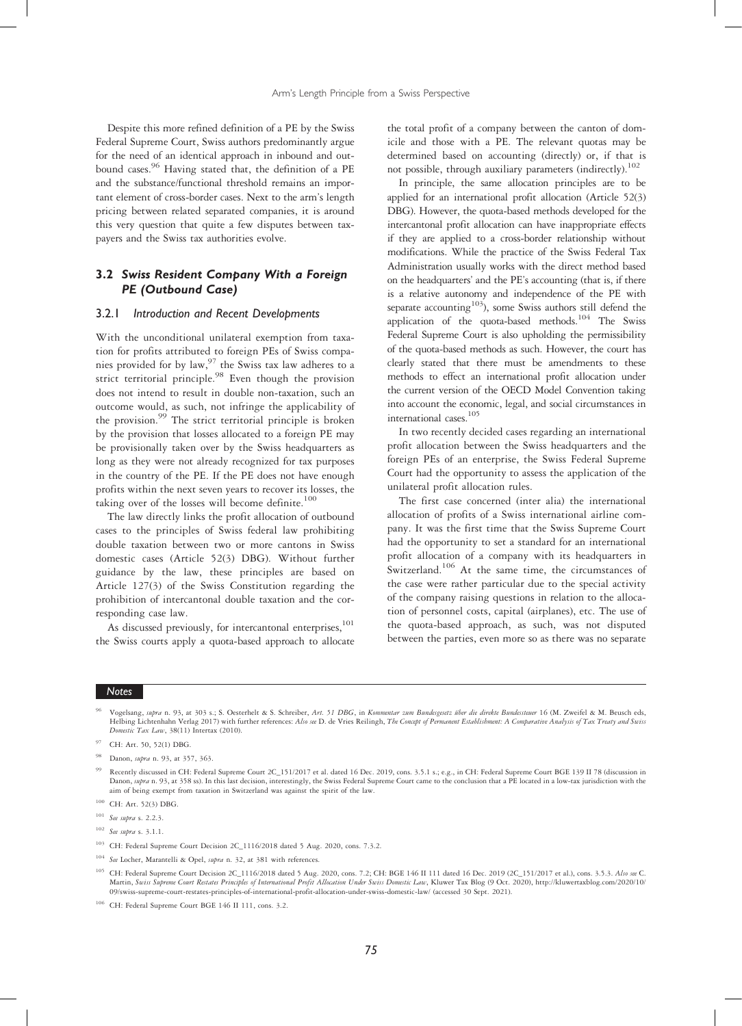Despite this more refined definition of a PE by the Swiss Federal Supreme Court, Swiss authors predominantly argue for the need of an identical approach in inbound and outbound cases.<sup>96</sup> Having stated that, the definition of a PE and the substance/functional threshold remains an important element of cross-border cases. Next to the arm's length pricing between related separated companies, it is around this very question that quite a few disputes between taxpayers and the Swiss tax authorities evolve.

# 3.2 Swiss Resident Company With a Foreign PE (Outbound Case)

#### 3.2.1 Introduction and Recent Developments

With the unconditional unilateral exemption from taxation for profits attributed to foreign PEs of Swiss companies provided for by law,  $97$  the Swiss tax law adheres to a strict territorial principle.<sup>98</sup> Even though the provision does not intend to result in double non-taxation, such an outcome would, as such, not infringe the applicability of the provision.<sup>99</sup> The strict territorial principle is broken by the provision that losses allocated to a foreign PE may be provisionally taken over by the Swiss headquarters as long as they were not already recognized for tax purposes in the country of the PE. If the PE does not have enough profits within the next seven years to recover its losses, the taking over of the losses will become definite.<sup>100</sup>

The law directly links the profit allocation of outbound cases to the principles of Swiss federal law prohibiting double taxation between two or more cantons in Swiss domestic cases (Article 52(3) DBG). Without further guidance by the law, these principles are based on Article 127(3) of the Swiss Constitution regarding the prohibition of intercantonal double taxation and the corresponding case law.

As discussed previously, for intercantonal enterprises,<sup>101</sup> the Swiss courts apply a quota-based approach to allocate the total profit of a company between the canton of domicile and those with a PE. The relevant quotas may be determined based on accounting (directly) or, if that is not possible, through auxiliary parameters (indirectly).<sup>102</sup>

In principle, the same allocation principles are to be applied for an international profit allocation (Article 52(3) DBG). However, the quota-based methods developed for the intercantonal profit allocation can have inappropriate effects if they are applied to a cross-border relationship without modifications. While the practice of the Swiss Federal Tax Administration usually works with the direct method based on the headquarters' and the PE's accounting (that is, if there is a relative autonomy and independence of the PE with separate accounting<sup>103</sup>), some Swiss authors still defend the application of the quota-based methods.<sup>104</sup> The Swiss Federal Supreme Court is also upholding the permissibility of the quota-based methods as such. However, the court has clearly stated that there must be amendments to these methods to effect an international profit allocation under the current version of the OECD Model Convention taking into account the economic, legal, and social circumstances in international cases.<sup>105</sup>

In two recently decided cases regarding an international profit allocation between the Swiss headquarters and the foreign PEs of an enterprise, the Swiss Federal Supreme Court had the opportunity to assess the application of the unilateral profit allocation rules.

The first case concerned (inter alia) the international allocation of profits of a Swiss international airline company. It was the first time that the Swiss Supreme Court had the opportunity to set a standard for an international profit allocation of a company with its headquarters in Switzerland.<sup>106</sup> At the same time, the circumstances of the case were rather particular due to the special activity of the company raising questions in relation to the allocation of personnel costs, capital (airplanes), etc. The use of the quota-based approach, as such, was not disputed between the parties, even more so as there was no separate

#### Notes

<sup>96</sup> Vogelsang, supra n. 93, at 303 s.; S. Oesterhelt & S. Schreiber, Art. 51 DBG, in Kommentar zum Bundesgeetz über die direkte Bundessteuer 16 (M. Zweifel & M. Beusch eds, Helbing Lichtenhahn Verlag 2017) with further re Domestic Tax Law, 38(11) Intertax (2010).

<sup>99</sup> Recently discussed in CH: Federal Supreme Court 2C\_151/2017 et al. dated 16 Dec. 2019, cons. 3.5.1 s.; e.g., in CH: Federal Supreme Court BGE 139 II 78 (discussion in Danon, supra n. 93, at 358 ss). In this last decision, interestingly, the Swiss Federal Supreme Court came to the conclusion that a PE located in a low-tax jurisdiction with the aim of being exempt from taxation in Switzerland was against the spirit of the law.

- See supra s.  $3.1.1$ .
- <sup>103</sup> CH: Federal Supreme Court Decision 2C\_1116/2018 dated 5 Aug. 2020, cons. 7.3.2.
- <sup>104</sup> See Locher, Marantelli & Opel, supra n. 32, at 381 with references.
- <sup>105</sup> CH: Federal Supreme Court Decision 2C\_1116/2018 dated 5 Aug. 2020, cons. 7.2; CH: BGE 146 II 111 dated 16 Dec. 2019 (2C\_151/2017 et al.), cons. 3.5.3. Also see C. Martin, Swiss Supreme Court Restates Principles of International Profit Allocation Under Swiss Domestic Law, Kluwer Tax Blog (9 Oct. 2020), http://kluwertaxblog.com/2020/10/ 09/swiss-supreme-court-restates-principles-of-international-profit-allocation-under-swiss-domestic-law/ (accessed 30 Sept. 2021).
- <sup>106</sup> CH: Federal Supreme Court BGE 146 II 111, cons. 3.2.

CH: Art. 50, 52(1) DBG.

Danon, *supra* n. 93, at 357, 363.

<sup>100</sup> CH: Art. 52(3) DBG.

<sup>&</sup>lt;sup>101</sup> See supra s. 2.2.3.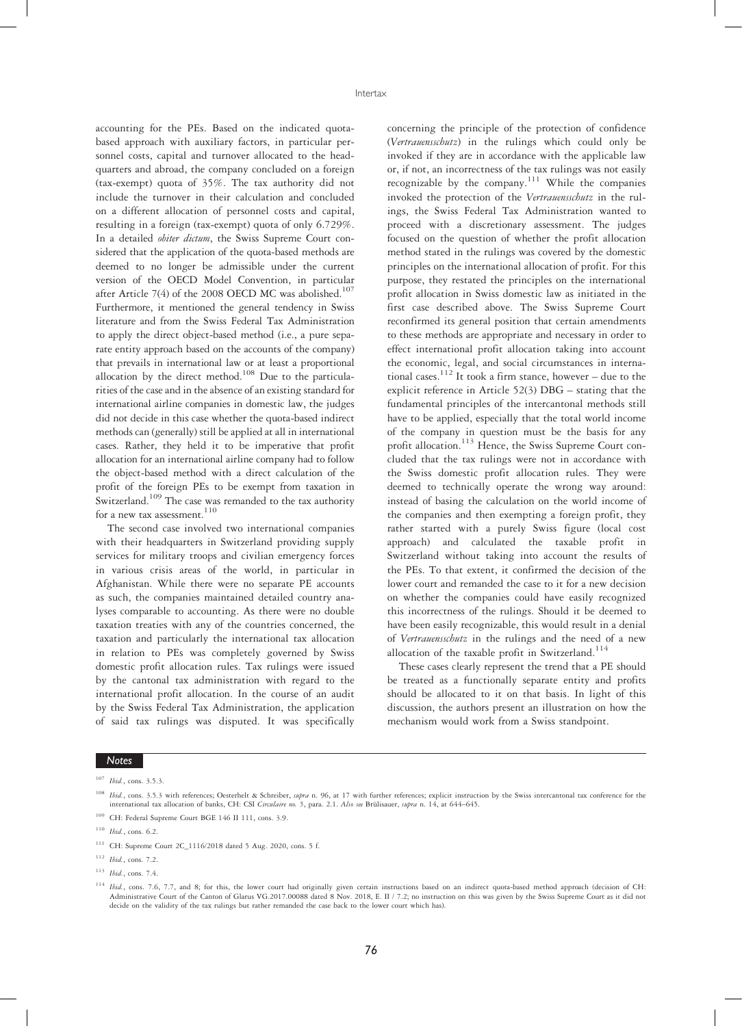accounting for the PEs. Based on the indicated quotabased approach with auxiliary factors, in particular personnel costs, capital and turnover allocated to the headquarters and abroad, the company concluded on a foreign (tax-exempt) quota of 35%. The tax authority did not include the turnover in their calculation and concluded on a different allocation of personnel costs and capital, resulting in a foreign (tax-exempt) quota of only 6.729%. In a detailed *obiter dictum*, the Swiss Supreme Court considered that the application of the quota-based methods are deemed to no longer be admissible under the current version of the OECD Model Convention, in particular after Article 7(4) of the 2008 OECD MC was abolished.<sup>107</sup> Furthermore, it mentioned the general tendency in Swiss literature and from the Swiss Federal Tax Administration to apply the direct object-based method (i.e., a pure separate entity approach based on the accounts of the company) that prevails in international law or at least a proportional allocation by the direct method.<sup>108</sup> Due to the particularities of the case and in the absence of an existing standard for international airline companies in domestic law, the judges did not decide in this case whether the quota-based indirect methods can (generally) still be applied at all in international cases. Rather, they held it to be imperative that profit allocation for an international airline company had to follow the object-based method with a direct calculation of the profit of the foreign PEs to be exempt from taxation in Switzerland.<sup>109</sup> The case was remanded to the tax authority for a new tax assessment.  $\real^{110}$ 

The second case involved two international companies with their headquarters in Switzerland providing supply services for military troops and civilian emergency forces in various crisis areas of the world, in particular in Afghanistan. While there were no separate PE accounts as such, the companies maintained detailed country analyses comparable to accounting. As there were no double taxation treaties with any of the countries concerned, the taxation and particularly the international tax allocation in relation to PEs was completely governed by Swiss domestic profit allocation rules. Tax rulings were issued by the cantonal tax administration with regard to the international profit allocation. In the course of an audit by the Swiss Federal Tax Administration, the application of said tax rulings was disputed. It was specifically

concerning the principle of the protection of confidence (Vertrauensschutz) in the rulings which could only be invoked if they are in accordance with the applicable law or, if not, an incorrectness of the tax rulings was not easily recognizable by the company.<sup>111</sup> While the companies invoked the protection of the Vertrauensschutz in the rulings, the Swiss Federal Tax Administration wanted to proceed with a discretionary assessment. The judges focused on the question of whether the profit allocation method stated in the rulings was covered by the domestic principles on the international allocation of profit. For this purpose, they restated the principles on the international profit allocation in Swiss domestic law as initiated in the first case described above. The Swiss Supreme Court reconfirmed its general position that certain amendments to these methods are appropriate and necessary in order to effect international profit allocation taking into account the economic, legal, and social circumstances in international cases.<sup>112</sup> It took a firm stance, however – due to the explicit reference in Article 52(3) DBG – stating that the fundamental principles of the intercantonal methods still have to be applied, especially that the total world income of the company in question must be the basis for any profit allocation.<sup>113</sup> Hence, the Swiss Supreme Court concluded that the tax rulings were not in accordance with the Swiss domestic profit allocation rules. They were deemed to technically operate the wrong way around: instead of basing the calculation on the world income of the companies and then exempting a foreign profit, they rather started with a purely Swiss figure (local cost approach) and calculated the taxable profit in Switzerland without taking into account the results of the PEs. To that extent, it confirmed the decision of the lower court and remanded the case to it for a new decision on whether the companies could have easily recognized this incorrectness of the rulings. Should it be deemed to have been easily recognizable, this would result in a denial of Vertrauensschutz in the rulings and the need of a new allocation of the taxable profit in Switzerland.<sup>114</sup>

These cases clearly represent the trend that a PE should be treated as a functionally separate entity and profits should be allocated to it on that basis. In light of this discussion, the authors present an illustration on how the mechanism would work from a Swiss standpoint.

- Ibid., cons. 3.5.3 with references; Oesterhelt & Schreiber, supra n. 96, at 17 with further references; explicit instruction by the Swiss intercantonal tax conference for the international tax allocation of banks, CH: CSI Circulaire no. 5, para. 2.1. Also see Brülisauer, supra n. 14, at 644–645.
- <sup>109</sup> CH: Federal Supreme Court BGE 146 II 111, cons. 3.9.
- <sup>110</sup> Ibid., cons. 6.2.

<sup>107</sup> Ibid., cons. 3.5.3.

<sup>111</sup> CH: Supreme Court 2C\_1116/2018 dated 5 Aug. 2020, cons. 5 f.

<sup>112</sup> Ibid., cons. 7.2.

<sup>113</sup> Ibid., cons. 7.4.

<sup>114</sup> Ibid., cons. 7.6, 7.7, and 8; for this, the lower court had originally given certain instructions based on an indirect quota-based method approach (decision of CH: Administrative Court of the Canton of Glarus VG.2017.00088 dated 8 Nov. 2018, E. II / 7.2; no instruction on this was given by the Swiss Supreme Court as it did not decide on the validity of the tax rulings but rather remanded the case back to the lower court which has).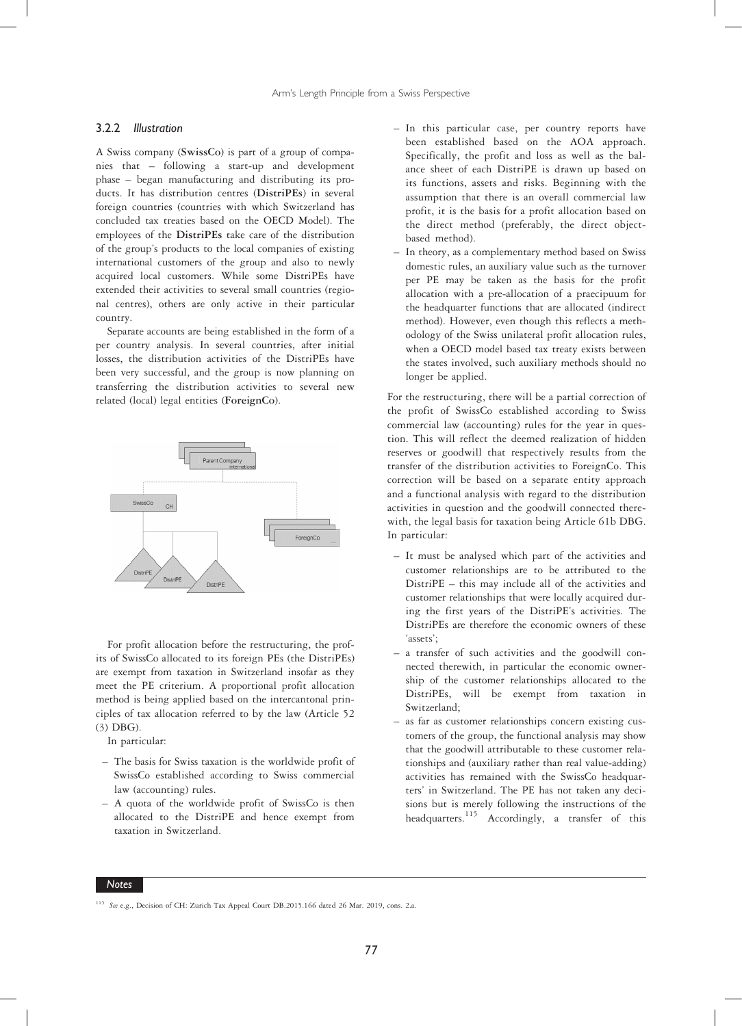#### 3.2.2 Illustration

A Swiss company (SwissCo) is part of a group of companies that – following a start-up and development phase – began manufacturing and distributing its products. It has distribution centres (DistriPEs) in several foreign countries (countries with which Switzerland has concluded tax treaties based on the OECD Model). The employees of the DistriPEs take care of the distribution of the group's products to the local companies of existing international customers of the group and also to newly acquired local customers. While some DistriPEs have extended their activities to several small countries (regional centres), others are only active in their particular country.

Separate accounts are being established in the form of a per country analysis. In several countries, after initial losses, the distribution activities of the DistriPEs have been very successful, and the group is now planning on transferring the distribution activities to several new related (local) legal entities (ForeignCo).



For profit allocation before the restructuring, the profits of SwissCo allocated to its foreign PEs (the DistriPEs) are exempt from taxation in Switzerland insofar as they meet the PE criterium. A proportional profit allocation method is being applied based on the intercantonal principles of tax allocation referred to by the law (Article 52 (3) DBG).

In particular:

- The basis for Swiss taxation is the worldwide profit of SwissCo established according to Swiss commercial law (accounting) rules.
- A quota of the worldwide profit of SwissCo is then allocated to the DistriPE and hence exempt from taxation in Switzerland.
- In this particular case, per country reports have been established based on the AOA approach. Specifically, the profit and loss as well as the balance sheet of each DistriPE is drawn up based on its functions, assets and risks. Beginning with the assumption that there is an overall commercial law profit, it is the basis for a profit allocation based on the direct method (preferably, the direct objectbased method).
- In theory, as a complementary method based on Swiss domestic rules, an auxiliary value such as the turnover per PE may be taken as the basis for the profit allocation with a pre-allocation of a praecipuum for the headquarter functions that are allocated (indirect method). However, even though this reflects a methodology of the Swiss unilateral profit allocation rules, when a OECD model based tax treaty exists between the states involved, such auxiliary methods should no longer be applied.

For the restructuring, there will be a partial correction of the profit of SwissCo established according to Swiss commercial law (accounting) rules for the year in question. This will reflect the deemed realization of hidden reserves or goodwill that respectively results from the transfer of the distribution activities to ForeignCo. This correction will be based on a separate entity approach and a functional analysis with regard to the distribution activities in question and the goodwill connected therewith, the legal basis for taxation being Article 61b DBG. In particular:

- It must be analysed which part of the activities and customer relationships are to be attributed to the DistriPE – this may include all of the activities and customer relationships that were locally acquired during the first years of the DistriPE's activities. The DistriPEs are therefore the economic owners of these 'assets';
- a transfer of such activities and the goodwill connected therewith, in particular the economic ownership of the customer relationships allocated to the DistriPEs, will be exempt from taxation in Switzerland;
- as far as customer relationships concern existing customers of the group, the functional analysis may show that the goodwill attributable to these customer relationships and (auxiliary rather than real value-adding) activities has remained with the SwissCo headquarters' in Switzerland. The PE has not taken any decisions but is merely following the instructions of the headquarters.<sup>115</sup> Accordingly, a transfer of this

<sup>&</sup>lt;sup>115</sup> See e.g., Decision of CH: Zurich Tax Appeal Court DB.2015.166 dated 26 Mar. 2019, cons. 2.a.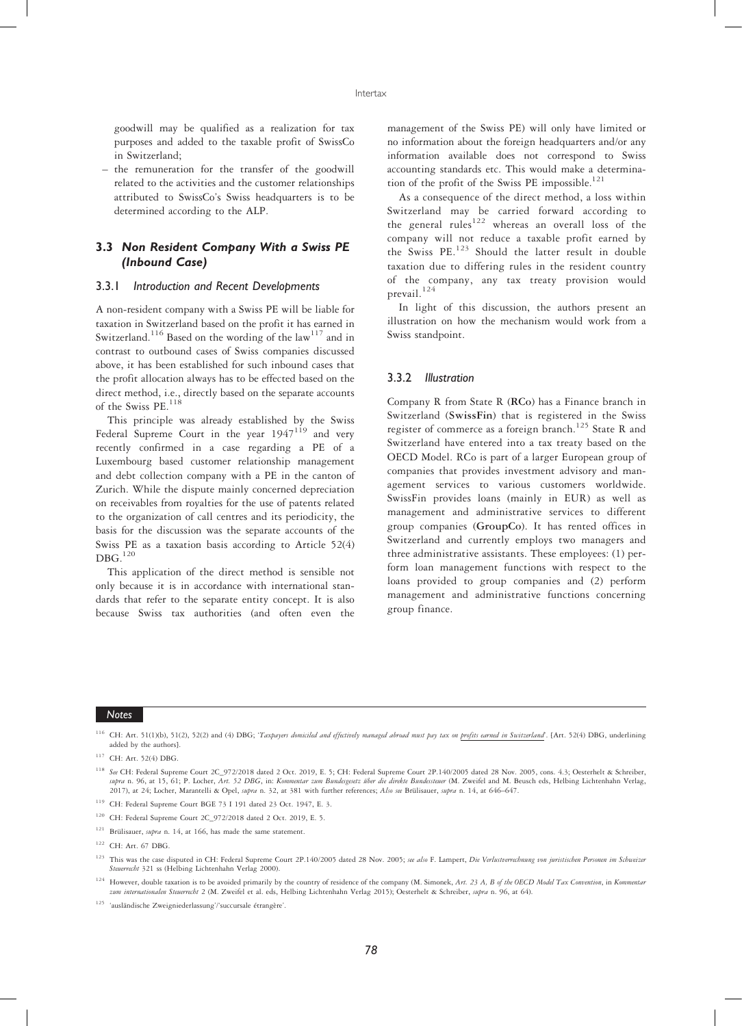goodwill may be qualified as a realization for tax purposes and added to the taxable profit of SwissCo in Switzerland;

– the remuneration for the transfer of the goodwill related to the activities and the customer relationships attributed to SwissCo's Swiss headquarters is to be determined according to the ALP.

# 3.3 Non Resident Company With a Swiss PE (Inbound Case)

#### 3.3.1 Introduction and Recent Developments

A non-resident company with a Swiss PE will be liable for taxation in Switzerland based on the profit it has earned in Switzerland.<sup>116</sup> Based on the wording of the law<sup>117</sup> and in contrast to outbound cases of Swiss companies discussed above, it has been established for such inbound cases that the profit allocation always has to be effected based on the direct method, i.e., directly based on the separate accounts of the Swiss PE.<sup>118</sup>

This principle was already established by the Swiss Federal Supreme Court in the year  $1947^{119}$  and very recently confirmed in a case regarding a PE of a Luxembourg based customer relationship management and debt collection company with a PE in the canton of Zurich. While the dispute mainly concerned depreciation on receivables from royalties for the use of patents related to the organization of call centres and its periodicity, the basis for the discussion was the separate accounts of the Swiss PE as a taxation basis according to Article 52(4)  $DBG.<sup>120</sup>$ 

This application of the direct method is sensible not only because it is in accordance with international standards that refer to the separate entity concept. It is also because Swiss tax authorities (and often even the

management of the Swiss PE) will only have limited or no information about the foreign headquarters and/or any information available does not correspond to Swiss accounting standards etc. This would make a determination of the profit of the Swiss PE impossible. $121$ 

As a consequence of the direct method, a loss within Switzerland may be carried forward according to the general rules<sup>122</sup> whereas an overall loss of the company will not reduce a taxable profit earned by the Swiss PE.<sup>123</sup> Should the latter result in double taxation due to differing rules in the resident country of the company, any tax treaty provision would prevail.<sup>124</sup>

In light of this discussion, the authors present an illustration on how the mechanism would work from a Swiss standpoint.

#### 3.3.2 Illustration

Company R from State R (RCo) has a Finance branch in Switzerland (SwissFin) that is registered in the Swiss register of commerce as a foreign branch.<sup>125</sup> State R and Switzerland have entered into a tax treaty based on the OECD Model. RCo is part of a larger European group of companies that provides investment advisory and management services to various customers worldwide. SwissFin provides loans (mainly in EUR) as well as management and administrative services to different group companies (GroupCo). It has rented offices in Switzerland and currently employs two managers and three administrative assistants. These employees: (1) perform loan management functions with respect to the loans provided to group companies and (2) perform management and administrative functions concerning group finance.

<sup>&</sup>lt;sup>116</sup> CH: Art. 51(1)(b), 51(2), 52(2) and (4) DBG; 'Taxpayers domiciled and effectively managed abroad must pay tax on profits earned in Switzerland'. [Art. 52(4) DBG, underlining added by the authors].

<sup>117</sup> CH: Art. 52(4) DBG.

<sup>&</sup>lt;sup>118</sup> See CH: Federal Supreme Court 2C\_972/2018 dated 2 Oct. 2019, E. 5; CH: Federal Supreme Court 2P.140/2005 dated 28 Nov. 2005, cons. 4.3; Oesterhelt & Schreiber, supra n. 96, at 15, 61; P. Locher, Art. 52 DBG, in: Kommentar zum Bundesgesetz über die direkte Bundessteuer (M. Zweifel and M. Beusch eds, Helbing Lichtenhahn Verlag, 2017), at 24; Locher, Marantelli & Opel, supra n. 32, at 381 with further references; Also see Brülisauer, supra n. 14, at 646-647.

<sup>119</sup> CH: Federal Supreme Court BGE 73 I 191 dated 23 Oct. 1947, E. 3.

<sup>120</sup> CH: Federal Supreme Court 2C\_972/2018 dated 2 Oct. 2019, E. 5.

<sup>&</sup>lt;sup>121</sup> Brülisauer, supra n. 14, at 166, has made the same statement.

<sup>122</sup> CH: Art. 67 DBG.

<sup>&</sup>lt;sup>123</sup> This was the case disputed in CH: Federal Supreme Court 2P.140/2005 dated 28 Nov. 2005; see also F. Lampert, Die Verlustverrechnung von juristischen Personen im Schweizer Steuerrecht 321 ss (Helbing Lichtenhahn Verlag 2000).

 $124$  However, double taxation is to be avoided primarily by the country of residence of the company (M. Simonek, Art. 23 A, B of the OECD Model Tax Convention, in Kommentar zum internationalen Steuerrecht 2 (M. Zweifel et al. eds, Helbing Lichtenhahn Verlag 2015); Oesterhelt & Schreiber, supra n. 96, at 64).

<sup>125</sup> 'ausländische Zweigniederlassung'/'succursale étrangère'.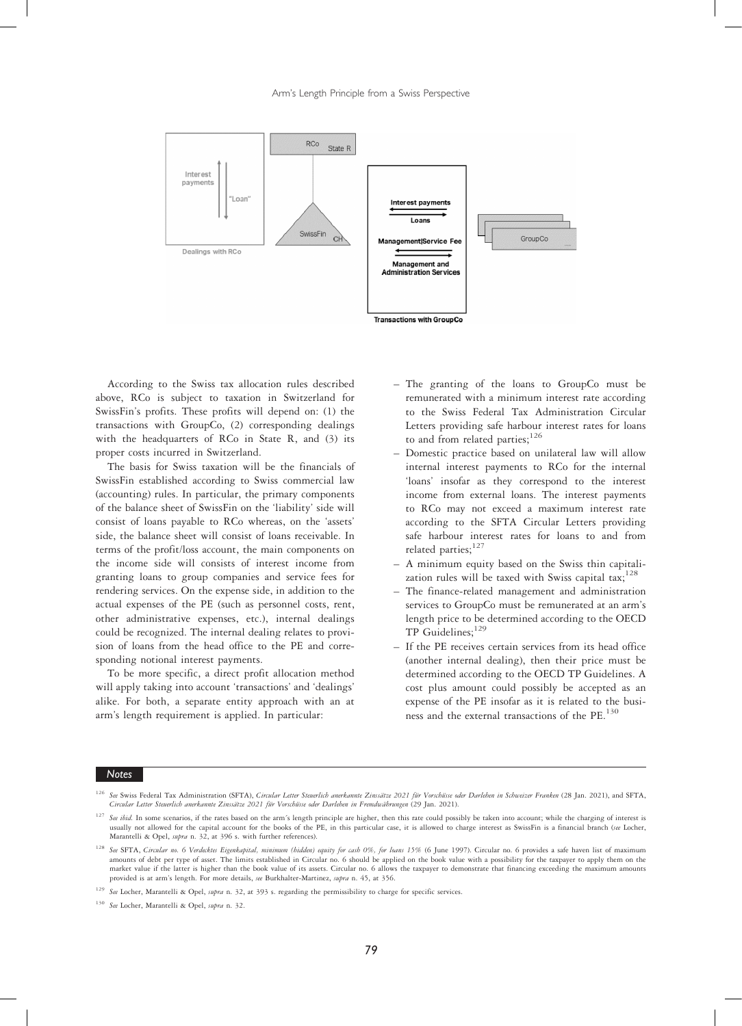

According to the Swiss tax allocation rules described above, RCo is subject to taxation in Switzerland for SwissFin's profits. These profits will depend on: (1) the transactions with GroupCo, (2) corresponding dealings with the headquarters of RCo in State R, and (3) its proper costs incurred in Switzerland.

The basis for Swiss taxation will be the financials of SwissFin established according to Swiss commercial law (accounting) rules. In particular, the primary components of the balance sheet of SwissFin on the 'liability' side will consist of loans payable to RCo whereas, on the 'assets' side, the balance sheet will consist of loans receivable. In terms of the profit/loss account, the main components on the income side will consists of interest income from granting loans to group companies and service fees for rendering services. On the expense side, in addition to the actual expenses of the PE (such as personnel costs, rent, other administrative expenses, etc.), internal dealings could be recognized. The internal dealing relates to provision of loans from the head office to the PE and corresponding notional interest payments.

To be more specific, a direct profit allocation method will apply taking into account 'transactions' and 'dealings' alike. For both, a separate entity approach with an at arm's length requirement is applied. In particular:

- The granting of the loans to GroupCo must be remunerated with a minimum interest rate according to the Swiss Federal Tax Administration Circular Letters providing safe harbour interest rates for loans to and from related parties;<sup>126</sup>
- Domestic practice based on unilateral law will allow internal interest payments to RCo for the internal 'loans' insofar as they correspond to the interest income from external loans. The interest payments to RCo may not exceed a maximum interest rate according to the SFTA Circular Letters providing safe harbour interest rates for loans to and from related parties;<sup>127</sup>
- A minimum equity based on the Swiss thin capitalization rules will be taxed with Swiss capital tax;<sup>128</sup>
- The finance-related management and administration services to GroupCo must be remunerated at an arm's length price to be determined according to the OECD TP Guidelines;<sup>129</sup>
- If the PE receives certain services from its head office (another internal dealing), then their price must be determined according to the OECD TP Guidelines. A cost plus amount could possibly be accepted as an expense of the PE insofar as it is related to the business and the external transactions of the PE.<sup>130</sup>

See Swiss Federal Tax Administration (SFTA), Circular Letter Steuerlich anerkannte Zinssätze 2021 für Vorschüsse oder Darlehen in Schweizer Franken (28 Jan. 2021), and SFTA, Circular Letter Steuerlich anerkannte Zinssätze 2021 für Vorschüsse oder Darlehen in Fremdwährungen (29 Jan. 2021).

<sup>&</sup>lt;sup>127</sup> See ibid. In some scenarios, if the rates based on the arm´s length principle are higher, then this rate could possibly be taken into account; while the charging of interest is usually not allowed for the capital account for the books of the PE, in this particular case, it is allowed to charge interest as SwissFin is a financial branch (see Locher, Marantelli & Opel, supra n. 32, at 396 s. with further references)

<sup>&</sup>lt;sup>128</sup> See SFTA, Circular no. 6 Verdecktes Eigenkapital, minimum (hidden) equity for cash 0%, for loans 15% (6 June 1997). Circular no. 6 provides a safe haven list of maximum amounts of debt per type of asset. The limits established in Circular no. 6 should be applied on the book value with a possibility for the taxpayer to apply them on the market value if the latter is higher than the book value of its assets. Circular no. 6 allows the taxpayer to demonstrate that financing exceeding the maximum amounts provided is at arm's length. For more details, see Burkhalter-Martinez, supra n. 45, at 356.

<sup>&</sup>lt;sup>129</sup> See Locher, Marantelli & Opel, supra n. 32, at 393 s. regarding the permissibility to charge for specific services.

<sup>&</sup>lt;sup>130</sup> See Locher, Marantelli & Opel, supra n. 32.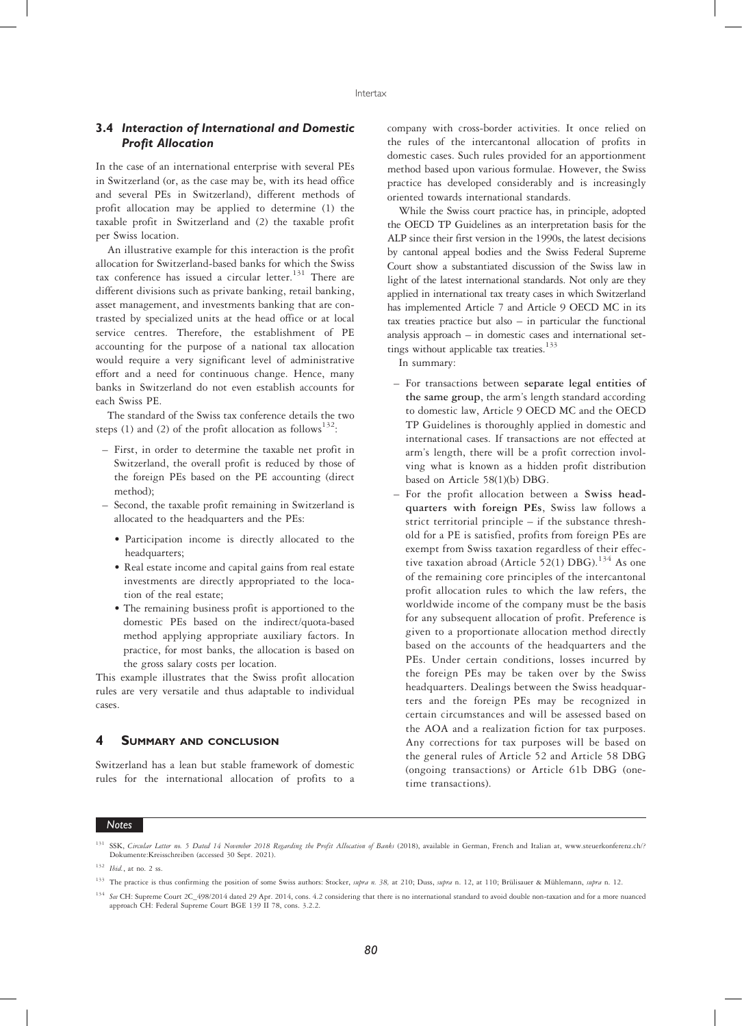### 3.4 Interaction of International and Domestic Profit Allocation

In the case of an international enterprise with several PEs in Switzerland (or, as the case may be, with its head office and several PEs in Switzerland), different methods of profit allocation may be applied to determine (1) the taxable profit in Switzerland and (2) the taxable profit per Swiss location.

An illustrative example for this interaction is the profit allocation for Switzerland-based banks for which the Swiss tax conference has issued a circular letter. $131$  There are different divisions such as private banking, retail banking, asset management, and investments banking that are contrasted by specialized units at the head office or at local service centres. Therefore, the establishment of PE accounting for the purpose of a national tax allocation would require a very significant level of administrative effort and a need for continuous change. Hence, many banks in Switzerland do not even establish accounts for each Swiss PE.

The standard of the Swiss tax conference details the two steps (1) and (2) of the profit allocation as follows<sup>132</sup>:

- First, in order to determine the taxable net profit in Switzerland, the overall profit is reduced by those of the foreign PEs based on the PE accounting (direct method);
- Second, the taxable profit remaining in Switzerland is allocated to the headquarters and the PEs:
	- Participation income is directly allocated to the headquarters;
	- Real estate income and capital gains from real estate investments are directly appropriated to the location of the real estate;
	- The remaining business profit is apportioned to the domestic PEs based on the indirect/quota-based method applying appropriate auxiliary factors. In practice, for most banks, the allocation is based on the gross salary costs per location.

This example illustrates that the Swiss profit allocation rules are very versatile and thus adaptable to individual cases.

#### 4 SUMMARY AND CONCLUSION

Switzerland has a lean but stable framework of domestic rules for the international allocation of profits to a company with cross-border activities. It once relied on the rules of the intercantonal allocation of profits in domestic cases. Such rules provided for an apportionment method based upon various formulae. However, the Swiss practice has developed considerably and is increasingly oriented towards international standards.

While the Swiss court practice has, in principle, adopted the OECD TP Guidelines as an interpretation basis for the ALP since their first version in the 1990s, the latest decisions by cantonal appeal bodies and the Swiss Federal Supreme Court show a substantiated discussion of the Swiss law in light of the latest international standards. Not only are they applied in international tax treaty cases in which Switzerland has implemented Article 7 and Article 9 OECD MC in its tax treaties practice but also – in particular the functional analysis approach – in domestic cases and international settings without applicable tax treaties.<sup>133</sup>

In summary:

- For transactions between separate legal entities of the same group, the arm's length standard according to domestic law, Article 9 OECD MC and the OECD TP Guidelines is thoroughly applied in domestic and international cases. If transactions are not effected at arm's length, there will be a profit correction involving what is known as a hidden profit distribution based on Article 58(1)(b) DBG.
- For the profit allocation between a Swiss headquarters with foreign PEs, Swiss law follows a strict territorial principle – if the substance threshold for a PE is satisfied, profits from foreign PEs are exempt from Swiss taxation regardless of their effective taxation abroad (Article 52(1) DBG).<sup>134</sup> As one of the remaining core principles of the intercantonal profit allocation rules to which the law refers, the worldwide income of the company must be the basis for any subsequent allocation of profit. Preference is given to a proportionate allocation method directly based on the accounts of the headquarters and the PEs. Under certain conditions, losses incurred by the foreign PEs may be taken over by the Swiss headquarters. Dealings between the Swiss headquarters and the foreign PEs may be recognized in certain circumstances and will be assessed based on the AOA and a realization fiction for tax purposes. Any corrections for tax purposes will be based on the general rules of Article 52 and Article 58 DBG (ongoing transactions) or Article 61b DBG (onetime transactions).

#### **Notes**

<sup>134</sup> See CH: Supreme Court 2C\_498/2014 dated 29 Apr. 2014, cons. 4.2 considering that there is no international standard to avoid double non-taxation and for a more nuanced approach CH: Federal Supreme Court BGE 139 II 78, cons. 3.2.2.

SSK, Circular Letter no. 5 Dated 14 November 2018 Regarding the Profit Allocation of Banks (2018), available in German, French and Italian at, www.steuerkonferenz.ch/? Dokumente:Kreisschreiben (accessed 30 Sept. 2021).

 $132$  *Ibid.*, at no. 2 ss.

<sup>&</sup>lt;sup>133</sup> The practice is thus confirming the position of some Swiss authors: Stocker, supra n. 38, at 210; Duss, supra n. 12, at 110; Brülisauer & Mühlemann, supra n. 12.